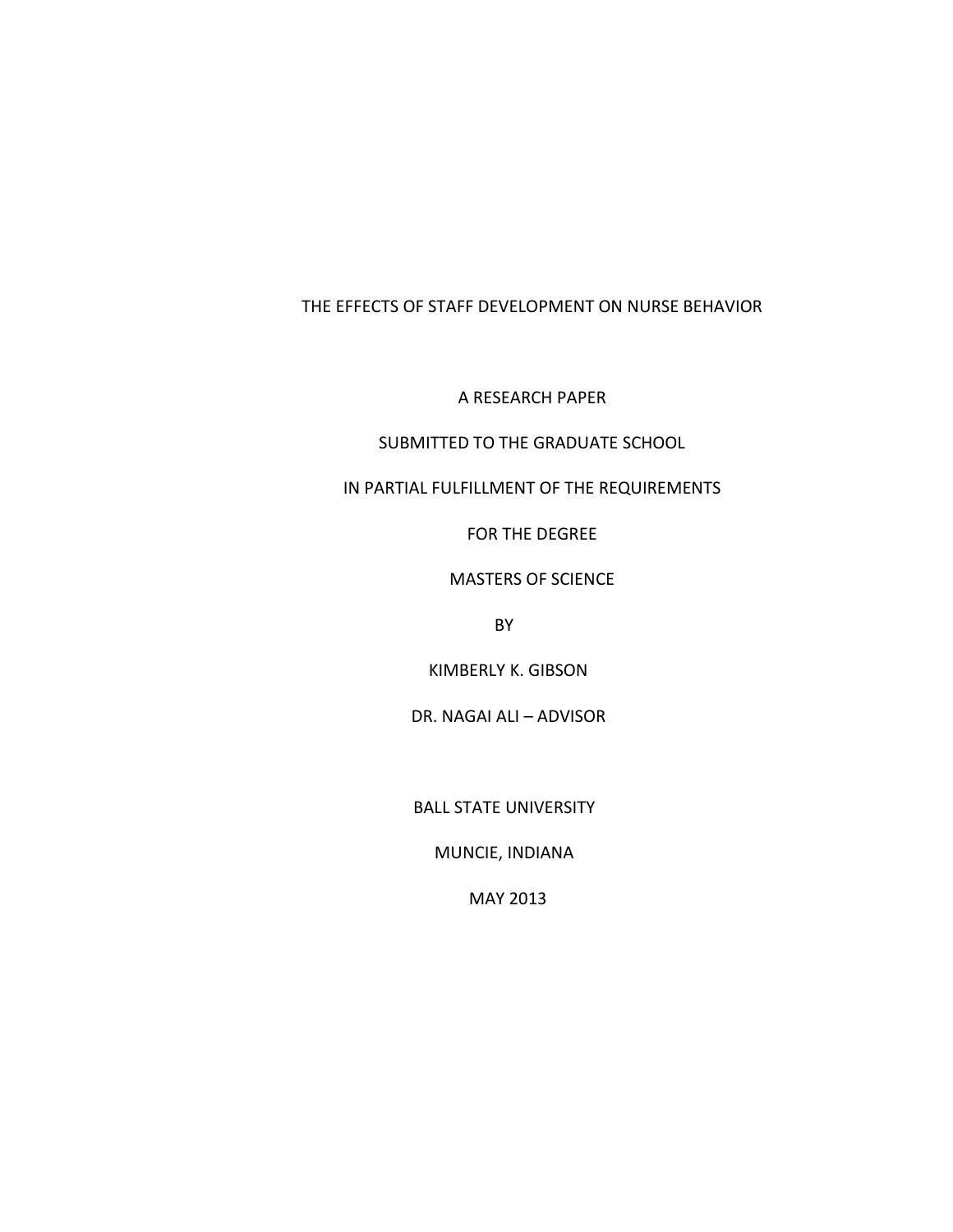# THE EFFECTS OF STAFF DEVELOPMENT ON NURSE BEHAVIOR

A RESEARCH PAPER

# SUBMITTED TO THE GRADUATE SCHOOL

IN PARTIAL FULFILLMENT OF THE REQUIREMENTS

FOR THE DEGREE

### MASTERS OF SCIENCE

BY

KIMBERLY K. GIBSON

DR. NAGAI ALI – ADVISOR

BALL STATE UNIVERSITY

MUNCIE, INDIANA

MAY 2013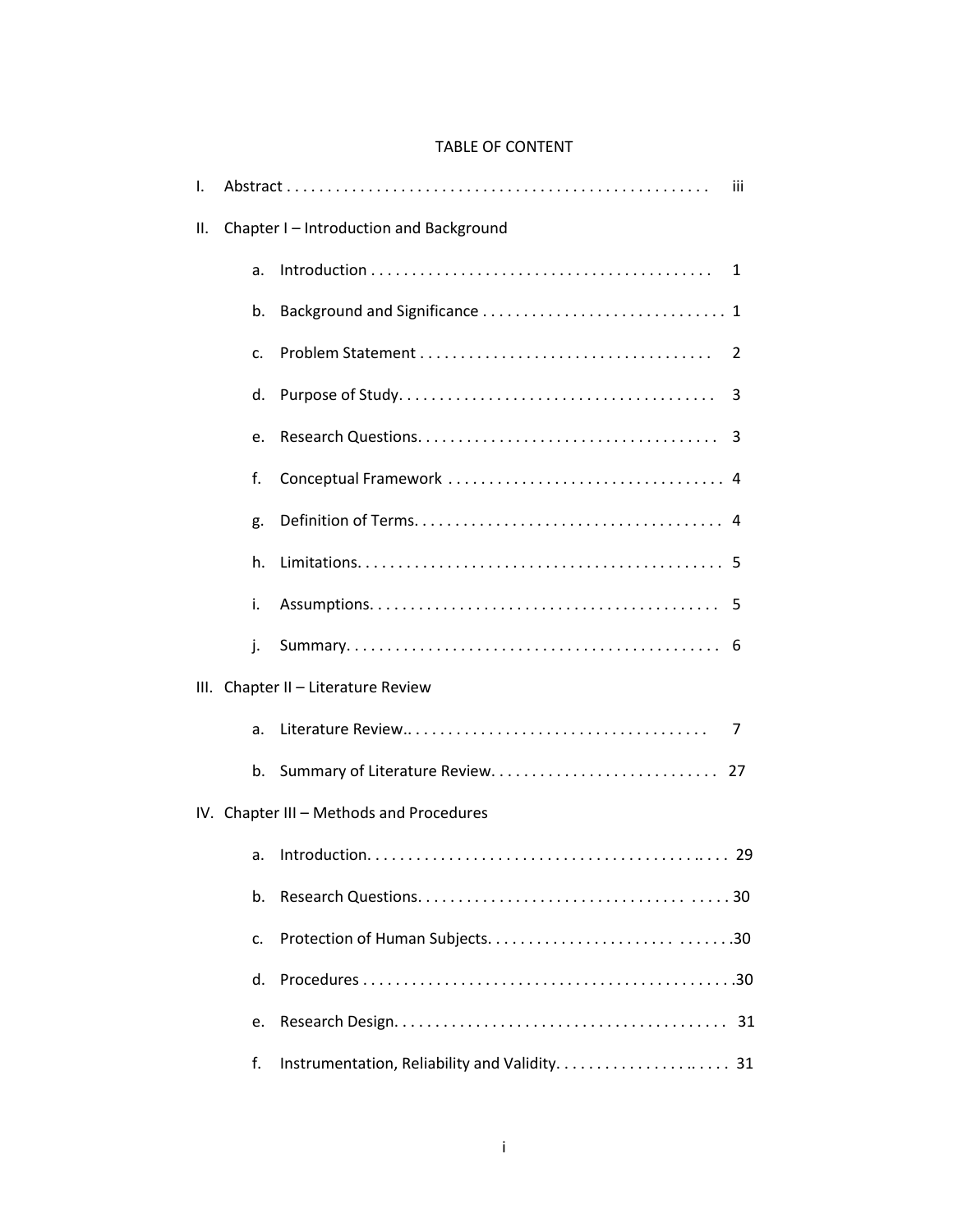# TABLE OF CONTENT

| Τ.                                       |    |                                         | Ш |
|------------------------------------------|----|-----------------------------------------|---|
| II.                                      |    | Chapter I - Introduction and Background |   |
|                                          | a. |                                         | 1 |
|                                          | b. |                                         |   |
|                                          | c. |                                         | 2 |
|                                          | d. |                                         | 3 |
|                                          | e. |                                         |   |
|                                          | f. |                                         |   |
|                                          | g. |                                         |   |
|                                          | h. |                                         |   |
|                                          | i. |                                         |   |
|                                          | j. |                                         |   |
|                                          |    | III. Chapter II - Literature Review     |   |
|                                          | a. |                                         | 7 |
|                                          | b. |                                         |   |
| IV. Chapter III - Methods and Procedures |    |                                         |   |
|                                          | a. |                                         |   |
|                                          | b. |                                         |   |
|                                          | c. |                                         |   |
|                                          | d. |                                         |   |
|                                          | e. |                                         |   |
|                                          | f. |                                         |   |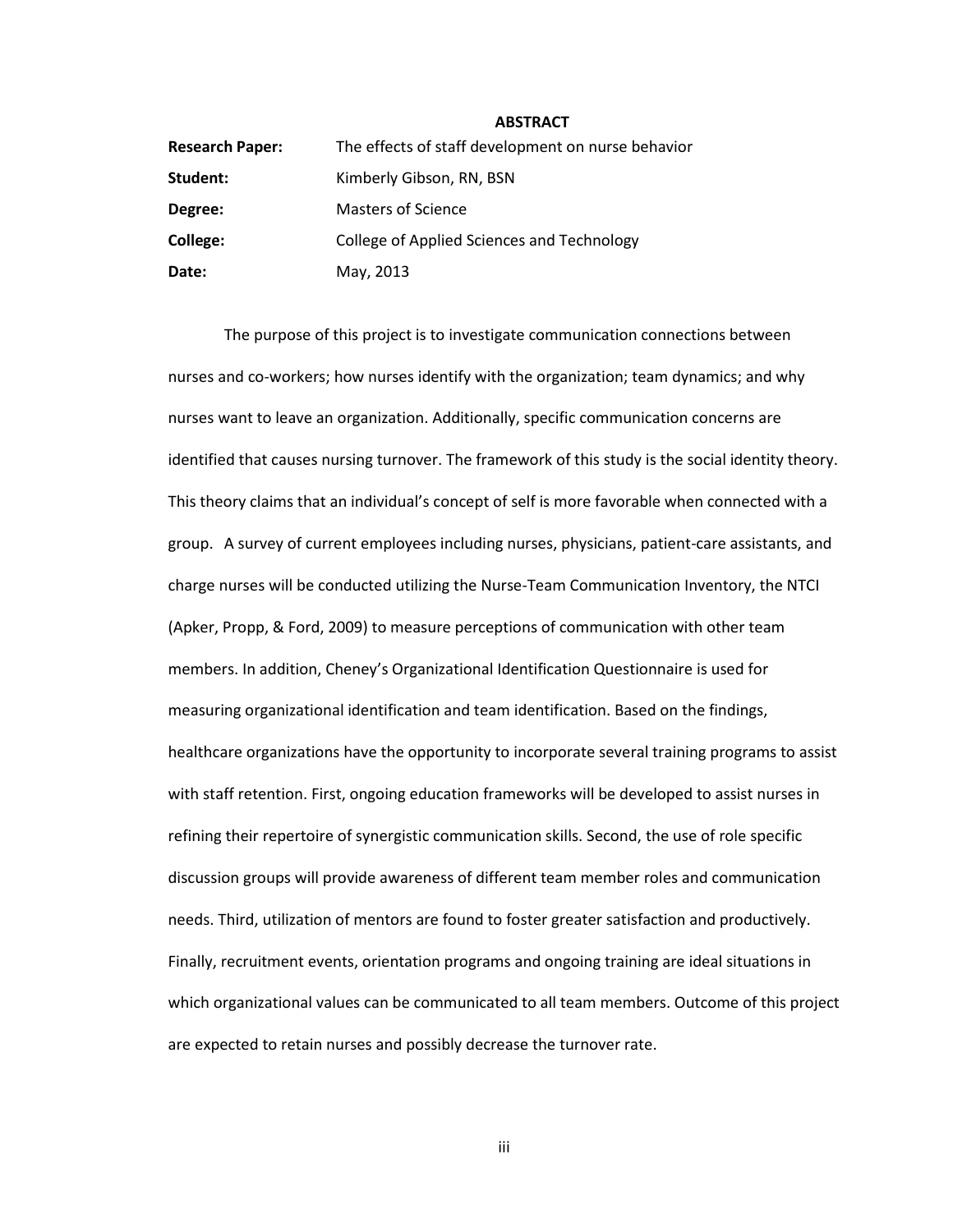#### **ABSTRACT**

| <b>Research Paper:</b> | The effects of staff development on nurse behavior |
|------------------------|----------------------------------------------------|
| Student:               | Kimberly Gibson, RN, BSN                           |
| Degree:                | <b>Masters of Science</b>                          |
| College:               | College of Applied Sciences and Technology         |
| Date:                  | May, 2013                                          |

The purpose of this project is to investigate communication connections between nurses and co-workers; how nurses identify with the organization; team dynamics; and why nurses want to leave an organization. Additionally, specific communication concerns are identified that causes nursing turnover. The framework of this study is the social identity theory. This theory claims that an individual's concept of self is more favorable when connected with a group. A survey of current employees including nurses, physicians, patient-care assistants, and charge nurses will be conducted utilizing the Nurse-Team Communication Inventory, the NTCI (Apker, Propp, & Ford, 2009) to measure perceptions of communication with other team members. In addition, Cheney's Organizational Identification Questionnaire is used for measuring organizational identification and team identification. Based on the findings, healthcare organizations have the opportunity to incorporate several training programs to assist with staff retention. First, ongoing education frameworks will be developed to assist nurses in refining their repertoire of synergistic communication skills. Second, the use of role specific discussion groups will provide awareness of different team member roles and communication needs. Third, utilization of mentors are found to foster greater satisfaction and productively. Finally, recruitment events, orientation programs and ongoing training are ideal situations in which organizational values can be communicated to all team members. Outcome of this project are expected to retain nurses and possibly decrease the turnover rate.

iii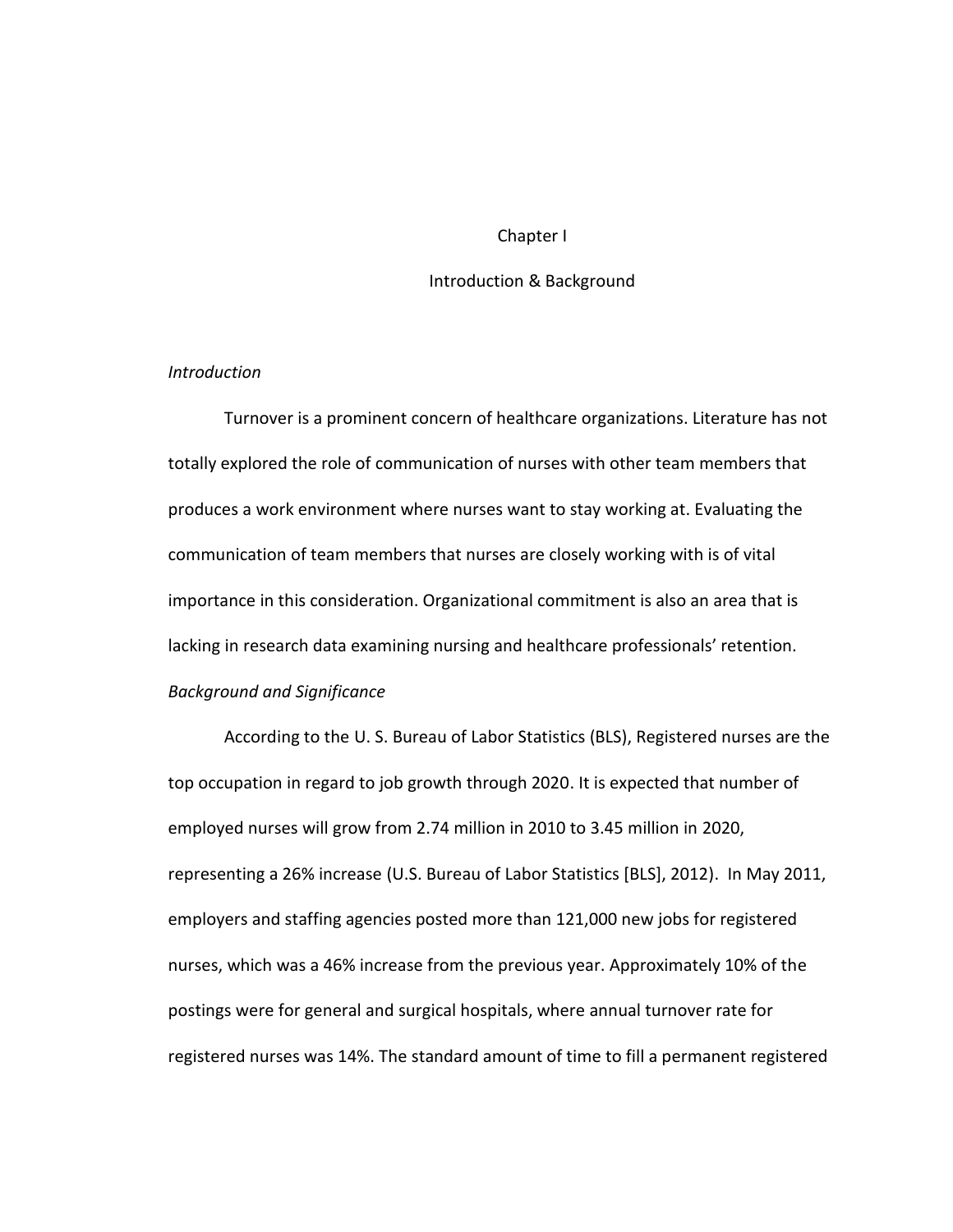## Chapter I

# Introduction & Background

## *Introduction*

Turnover is a prominent concern of healthcare organizations. Literature has not totally explored the role of communication of nurses with other team members that produces a work environment where nurses want to stay working at. Evaluating the communication of team members that nurses are closely working with is of vital importance in this consideration. Organizational commitment is also an area that is lacking in research data examining nursing and healthcare professionals' retention. *Background and Significance*

According to the U. S. Bureau of Labor Statistics (BLS), Registered nurses are the top occupation in regard to job growth through 2020. It is expected that number of employed nurses will grow from 2.74 million in 2010 to 3.45 million in 2020, representing a 26% increase (U.S. Bureau of Labor Statistics [BLS], 2012). In May 2011, employers and staffing agencies posted more than 121,000 new jobs for registered nurses, which was a 46% increase from the previous year. Approximately 10% of the postings were for general and surgical hospitals, where annual turnover rate for registered nurses was 14%. The standard amount of time to fill a permanent registered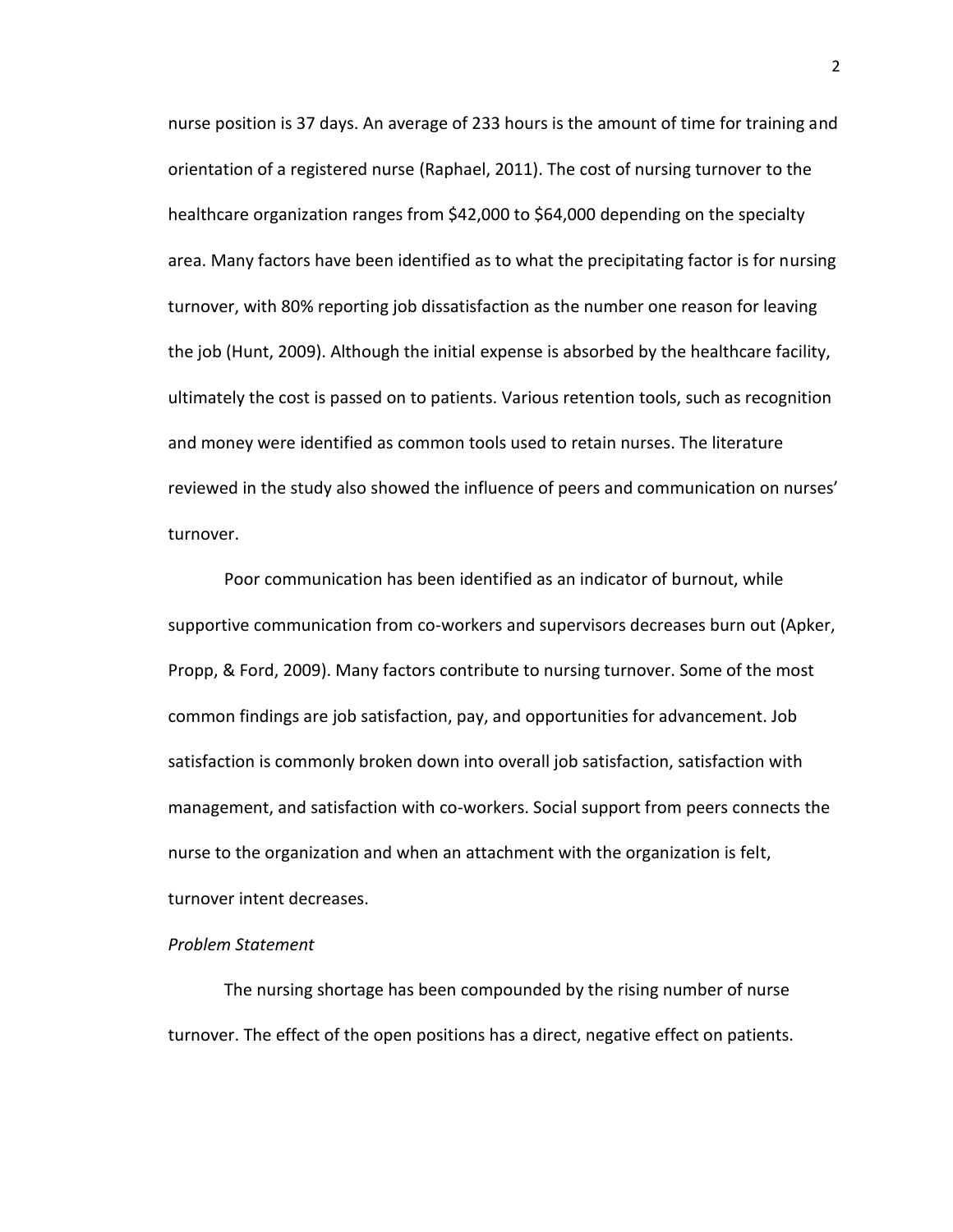nurse position is 37 days. An average of 233 hours is the amount of time for training and orientation of a registered nurse (Raphael, 2011). The cost of nursing turnover to the healthcare organization ranges from \$42,000 to \$64,000 depending on the specialty area. Many factors have been identified as to what the precipitating factor is for nursing turnover, with 80% reporting job dissatisfaction as the number one reason for leaving the job (Hunt, 2009). Although the initial expense is absorbed by the healthcare facility, ultimately the cost is passed on to patients. Various retention tools, such as recognition and money were identified as common tools used to retain nurses. The literature reviewed in the study also showed the influence of peers and communication on nurses' turnover.

Poor communication has been identified as an indicator of burnout, while supportive communication from co-workers and supervisors decreases burn out (Apker, Propp, & Ford, 2009). Many factors contribute to nursing turnover. Some of the most common findings are job satisfaction, pay, and opportunities for advancement. Job satisfaction is commonly broken down into overall job satisfaction, satisfaction with management, and satisfaction with co-workers. Social support from peers connects the nurse to the organization and when an attachment with the organization is felt, turnover intent decreases.

## *Problem Statement*

The nursing shortage has been compounded by the rising number of nurse turnover. The effect of the open positions has a direct, negative effect on patients. 2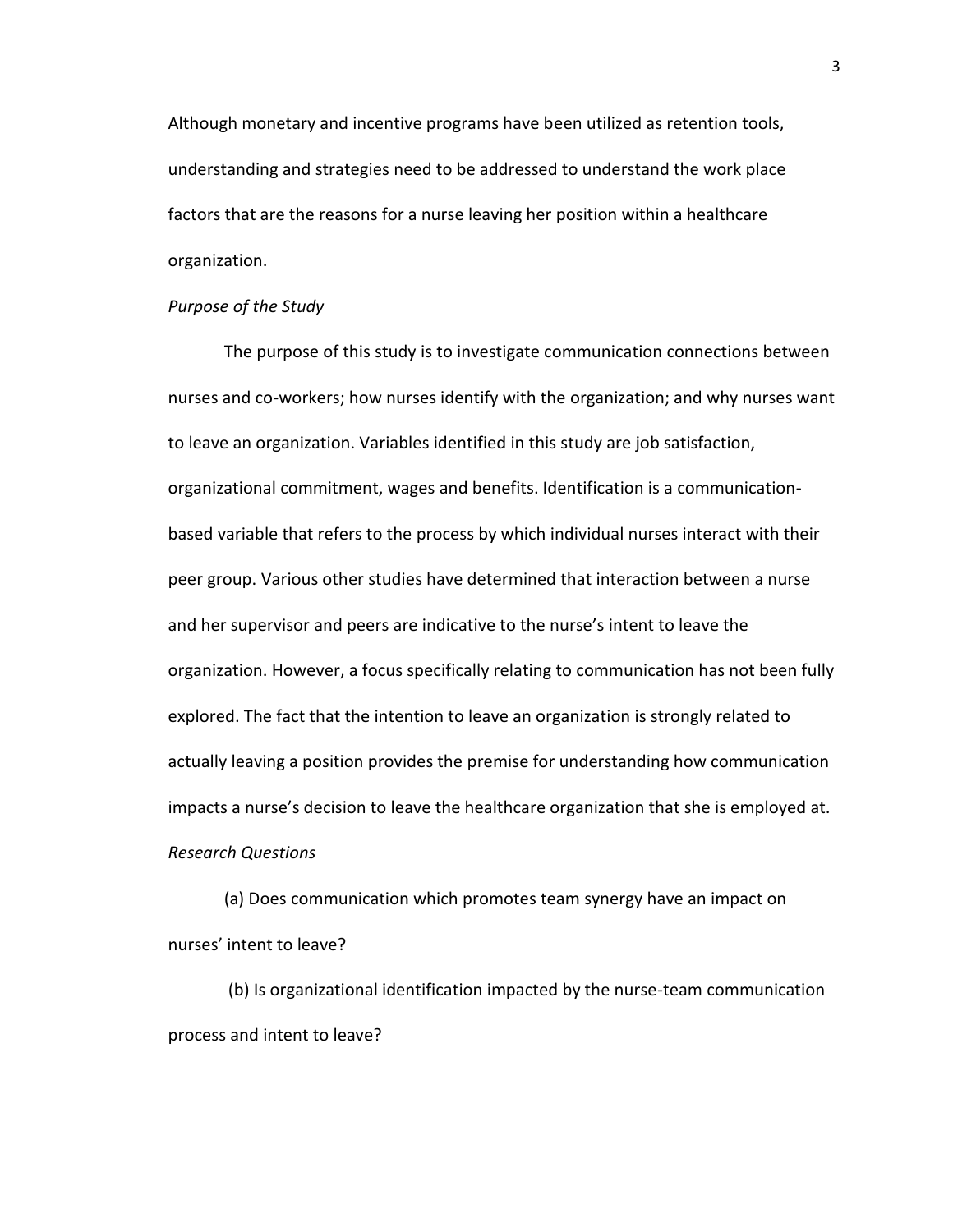Although monetary and incentive programs have been utilized as retention tools, understanding and strategies need to be addressed to understand the work place factors that are the reasons for a nurse leaving her position within a healthcare organization.

## *Purpose of the Study*

The purpose of this study is to investigate communication connections between nurses and co-workers; how nurses identify with the organization; and why nurses want to leave an organization. Variables identified in this study are job satisfaction, organizational commitment, wages and benefits. Identification is a communicationbased variable that refers to the process by which individual nurses interact with their peer group. Various other studies have determined that interaction between a nurse and her supervisor and peers are indicative to the nurse's intent to leave the organization. However, a focus specifically relating to communication has not been fully explored. The fact that the intention to leave an organization is strongly related to actually leaving a position provides the premise for understanding how communication impacts a nurse's decision to leave the healthcare organization that she is employed at. *Research Questions*

(a) Does communication which promotes team synergy have an impact on nurses' intent to leave?

(b) Is organizational identification impacted by the nurse-team communication process and intent to leave?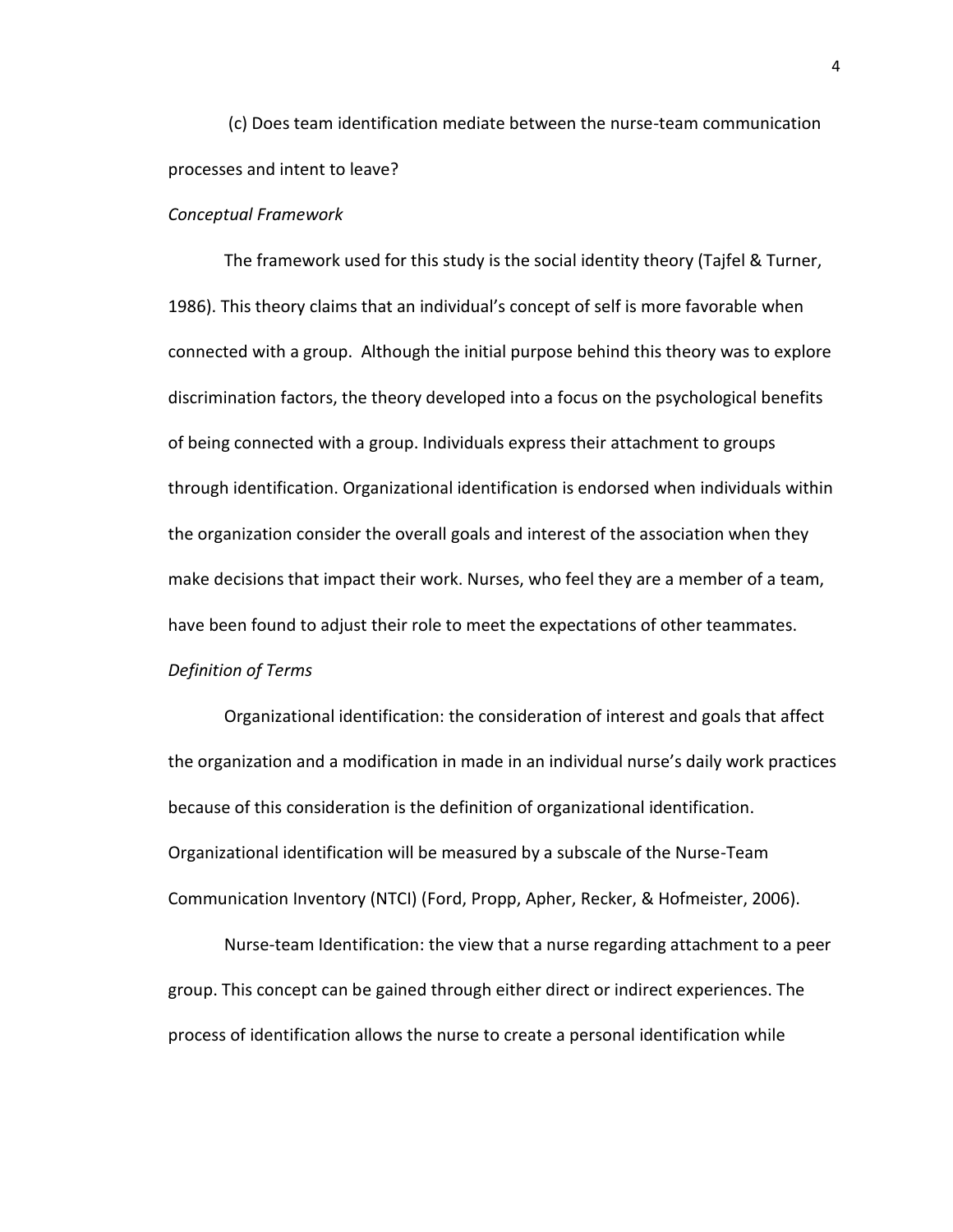(c) Does team identification mediate between the nurse-team communication processes and intent to leave?

#### *Conceptual Framework*

The framework used for this study is the social identity theory (Tajfel & Turner, 1986). This theory claims that an individual's concept of self is more favorable when connected with a group. Although the initial purpose behind this theory was to explore discrimination factors, the theory developed into a focus on the psychological benefits of being connected with a group. Individuals express their attachment to groups through identification. Organizational identification is endorsed when individuals within the organization consider the overall goals and interest of the association when they make decisions that impact their work. Nurses, who feel they are a member of a team, have been found to adjust their role to meet the expectations of other teammates. *Definition of Terms*

Organizational identification: the consideration of interest and goals that affect the organization and a modification in made in an individual nurse's daily work practices because of this consideration is the definition of organizational identification. Organizational identification will be measured by a subscale of the Nurse-Team Communication Inventory (NTCI) (Ford, Propp, Apher, Recker, & Hofmeister, 2006).

Nurse-team Identification: the view that a nurse regarding attachment to a peer group. This concept can be gained through either direct or indirect experiences. The process of identification allows the nurse to create a personal identification while

4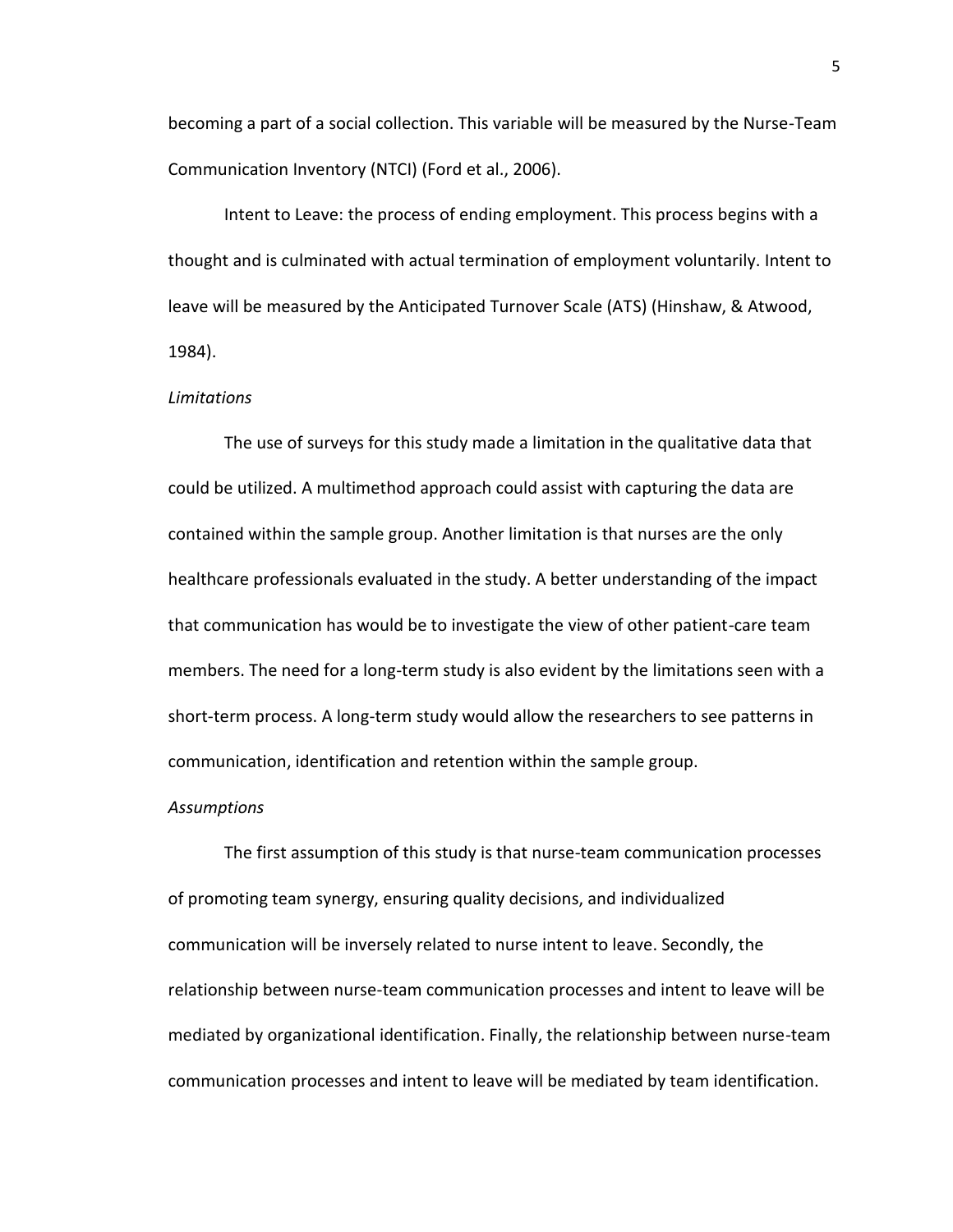becoming a part of a social collection. This variable will be measured by the Nurse-Team Communication Inventory (NTCI) (Ford et al., 2006).

Intent to Leave: the process of ending employment. This process begins with a thought and is culminated with actual termination of employment voluntarily. Intent to leave will be measured by the Anticipated Turnover Scale (ATS) (Hinshaw, & Atwood, 1984).

#### *Limitations*

The use of surveys for this study made a limitation in the qualitative data that could be utilized. A multimethod approach could assist with capturing the data are contained within the sample group. Another limitation is that nurses are the only healthcare professionals evaluated in the study. A better understanding of the impact that communication has would be to investigate the view of other patient-care team members. The need for a long-term study is also evident by the limitations seen with a short-term process. A long-term study would allow the researchers to see patterns in communication, identification and retention within the sample group.

#### *Assumptions*

The first assumption of this study is that nurse-team communication processes of promoting team synergy, ensuring quality decisions, and individualized communication will be inversely related to nurse intent to leave. Secondly, the relationship between nurse-team communication processes and intent to leave will be mediated by organizational identification. Finally, the relationship between nurse-team communication processes and intent to leave will be mediated by team identification.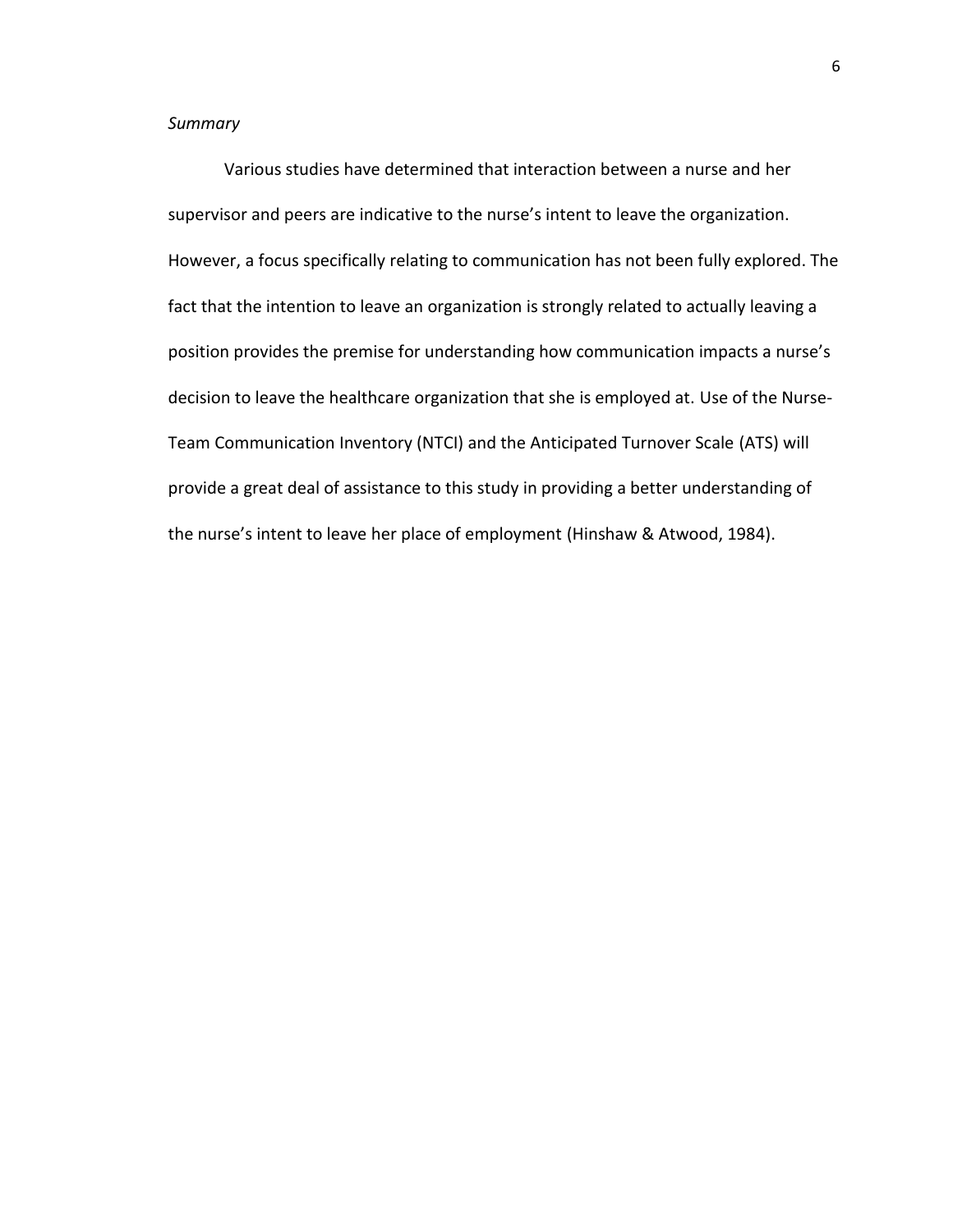# *Summary*

Various studies have determined that interaction between a nurse and her supervisor and peers are indicative to the nurse's intent to leave the organization. However, a focus specifically relating to communication has not been fully explored. The fact that the intention to leave an organization is strongly related to actually leaving a position provides the premise for understanding how communication impacts a nurse's decision to leave the healthcare organization that she is employed at. Use of the Nurse-Team Communication Inventory (NTCI) and the Anticipated Turnover Scale (ATS) will provide a great deal of assistance to this study in providing a better understanding of the nurse's intent to leave her place of employment (Hinshaw & Atwood, 1984).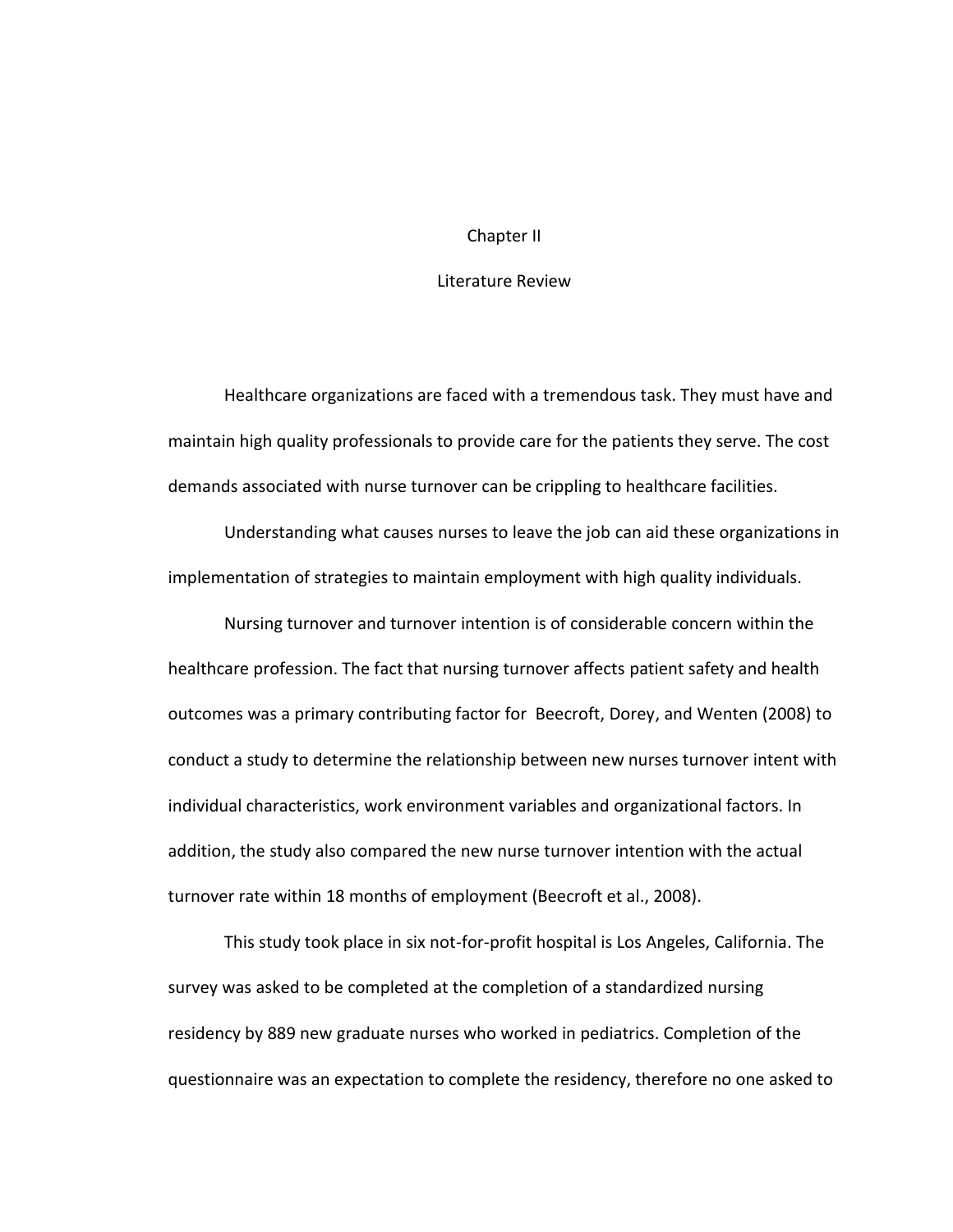### Chapter II

## Literature Review

Healthcare organizations are faced with a tremendous task. They must have and maintain high quality professionals to provide care for the patients they serve. The cost demands associated with nurse turnover can be crippling to healthcare facilities.

Understanding what causes nurses to leave the job can aid these organizations in implementation of strategies to maintain employment with high quality individuals.

Nursing turnover and turnover intention is of considerable concern within the healthcare profession. The fact that nursing turnover affects patient safety and health outcomes was a primary contributing factor for Beecroft, Dorey, and Wenten (2008) to conduct a study to determine the relationship between new nurses turnover intent with individual characteristics, work environment variables and organizational factors. In addition, the study also compared the new nurse turnover intention with the actual turnover rate within 18 months of employment (Beecroft et al., 2008).

This study took place in six not-for-profit hospital is Los Angeles, California. The survey was asked to be completed at the completion of a standardized nursing residency by 889 new graduate nurses who worked in pediatrics. Completion of the questionnaire was an expectation to complete the residency, therefore no one asked to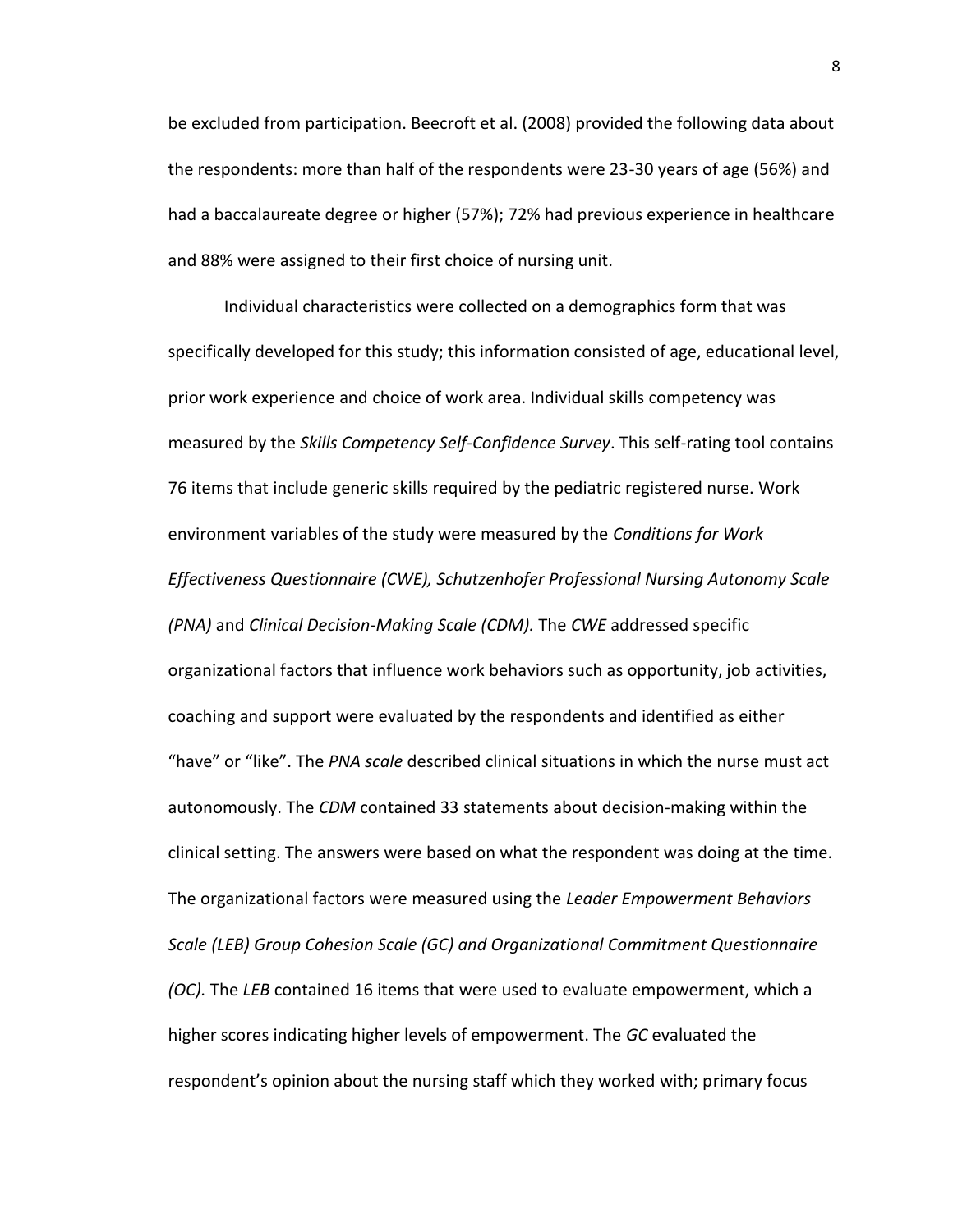be excluded from participation. Beecroft et al. (2008) provided the following data about the respondents: more than half of the respondents were 23-30 years of age (56%) and had a baccalaureate degree or higher (57%); 72% had previous experience in healthcare and 88% were assigned to their first choice of nursing unit.

Individual characteristics were collected on a demographics form that was specifically developed for this study; this information consisted of age, educational level, prior work experience and choice of work area. Individual skills competency was measured by the *Skills Competency Self-Confidence Survey*. This self-rating tool contains 76 items that include generic skills required by the pediatric registered nurse. Work environment variables of the study were measured by the *Conditions for Work Effectiveness Questionnaire (CWE), Schutzenhofer Professional Nursing Autonomy Scale (PNA)* and *Clinical Decision-Making Scale (CDM).* The *CWE* addressed specific organizational factors that influence work behaviors such as opportunity, job activities, coaching and support were evaluated by the respondents and identified as either "have" or "like". The *PNA scale* described clinical situations in which the nurse must act autonomously. The *CDM* contained 33 statements about decision-making within the clinical setting. The answers were based on what the respondent was doing at the time. The organizational factors were measured using the *Leader Empowerment Behaviors Scale (LEB) Group Cohesion Scale (GC) and Organizational Commitment Questionnaire (OC).* The *LEB* contained 16 items that were used to evaluate empowerment, which a higher scores indicating higher levels of empowerment. The *GC* evaluated the respondent's opinion about the nursing staff which they worked with; primary focus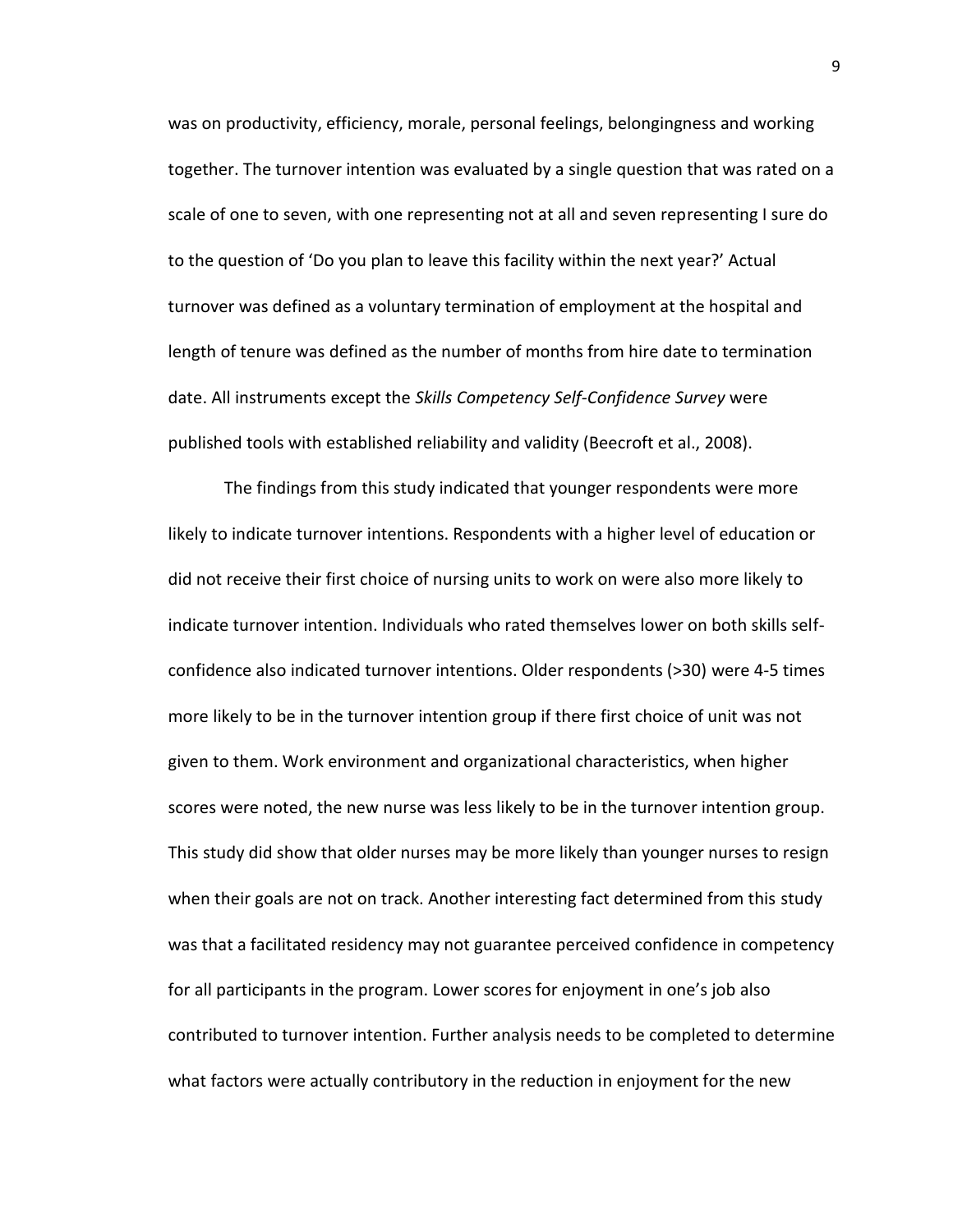was on productivity, efficiency, morale, personal feelings, belongingness and working together. The turnover intention was evaluated by a single question that was rated on a scale of one to seven, with one representing not at all and seven representing I sure do to the question of 'Do you plan to leave this facility within the next year?' Actual turnover was defined as a voluntary termination of employment at the hospital and length of tenure was defined as the number of months from hire date to termination date. All instruments except the *Skills Competency Self-Confidence Survey* were published tools with established reliability and validity (Beecroft et al., 2008).

The findings from this study indicated that younger respondents were more likely to indicate turnover intentions. Respondents with a higher level of education or did not receive their first choice of nursing units to work on were also more likely to indicate turnover intention. Individuals who rated themselves lower on both skills selfconfidence also indicated turnover intentions. Older respondents (>30) were 4-5 times more likely to be in the turnover intention group if there first choice of unit was not given to them. Work environment and organizational characteristics, when higher scores were noted, the new nurse was less likely to be in the turnover intention group. This study did show that older nurses may be more likely than younger nurses to resign when their goals are not on track. Another interesting fact determined from this study was that a facilitated residency may not guarantee perceived confidence in competency for all participants in the program. Lower scores for enjoyment in one's job also contributed to turnover intention. Further analysis needs to be completed to determine what factors were actually contributory in the reduction in enjoyment for the new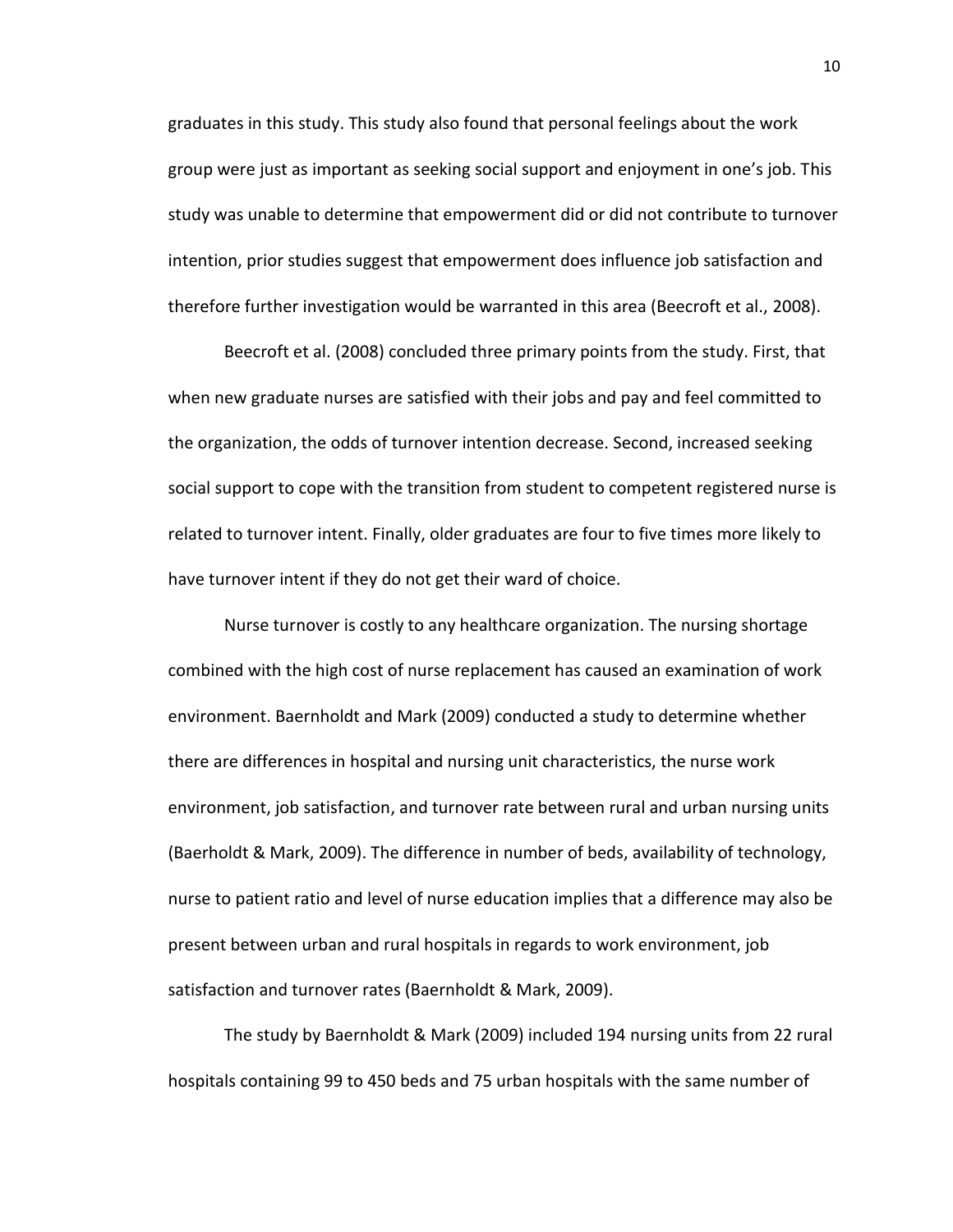graduates in this study. This study also found that personal feelings about the work group were just as important as seeking social support and enjoyment in one's job. This study was unable to determine that empowerment did or did not contribute to turnover intention, prior studies suggest that empowerment does influence job satisfaction and therefore further investigation would be warranted in this area (Beecroft et al., 2008).

Beecroft et al. (2008) concluded three primary points from the study. First, that when new graduate nurses are satisfied with their jobs and pay and feel committed to the organization, the odds of turnover intention decrease. Second, increased seeking social support to cope with the transition from student to competent registered nurse is related to turnover intent. Finally, older graduates are four to five times more likely to have turnover intent if they do not get their ward of choice.

Nurse turnover is costly to any healthcare organization. The nursing shortage combined with the high cost of nurse replacement has caused an examination of work environment. Baernholdt and Mark (2009) conducted a study to determine whether there are differences in hospital and nursing unit characteristics, the nurse work environment, job satisfaction, and turnover rate between rural and urban nursing units (Baerholdt & Mark, 2009). The difference in number of beds, availability of technology, nurse to patient ratio and level of nurse education implies that a difference may also be present between urban and rural hospitals in regards to work environment, job satisfaction and turnover rates (Baernholdt & Mark, 2009).

The study by Baernholdt & Mark (2009) included 194 nursing units from 22 rural hospitals containing 99 to 450 beds and 75 urban hospitals with the same number of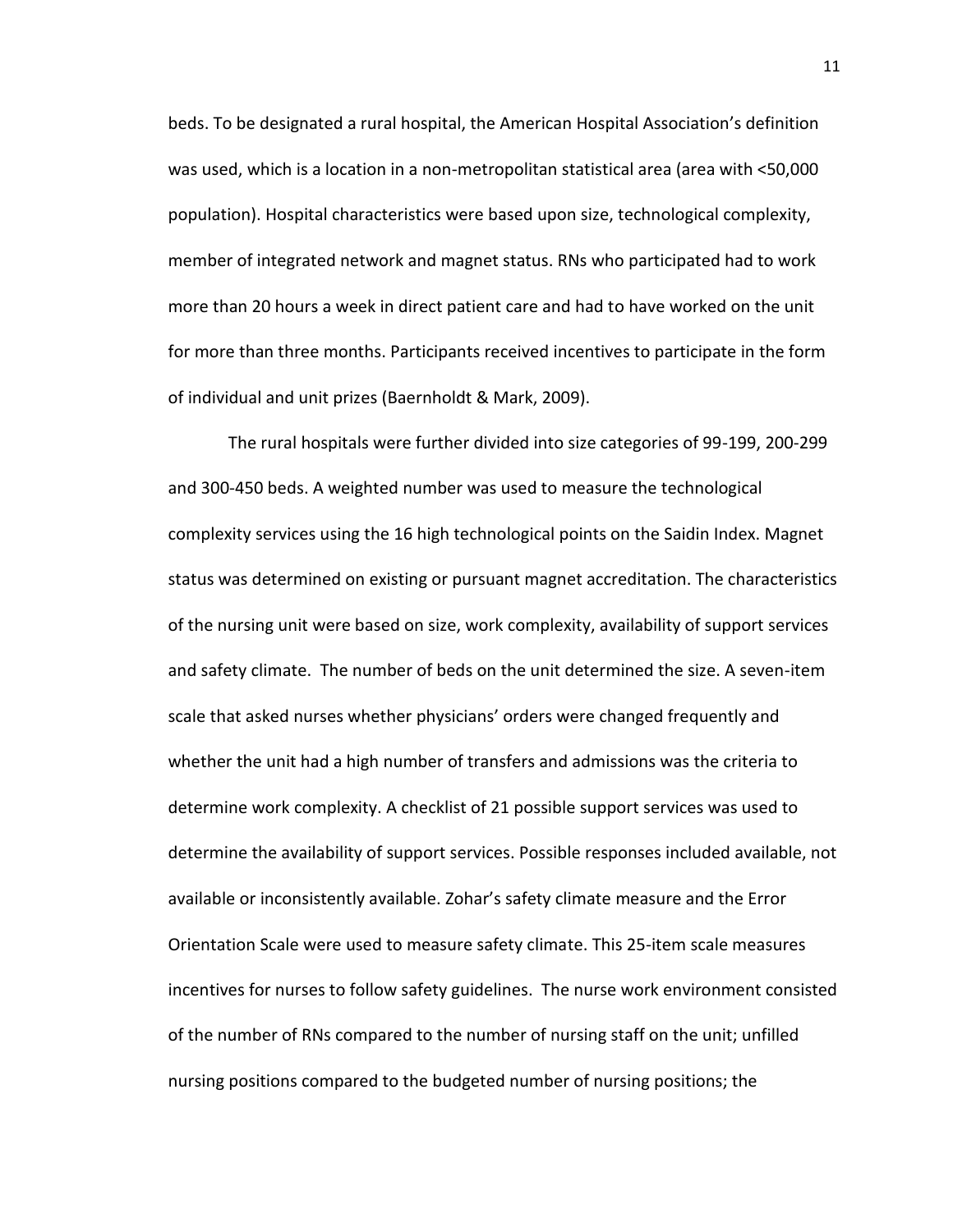beds. To be designated a rural hospital, the American Hospital Association's definition was used, which is a location in a non-metropolitan statistical area (area with <50,000 population). Hospital characteristics were based upon size, technological complexity, member of integrated network and magnet status. RNs who participated had to work more than 20 hours a week in direct patient care and had to have worked on the unit for more than three months. Participants received incentives to participate in the form of individual and unit prizes (Baernholdt & Mark, 2009).

The rural hospitals were further divided into size categories of 99-199, 200-299 and 300-450 beds. A weighted number was used to measure the technological complexity services using the 16 high technological points on the Saidin Index. Magnet status was determined on existing or pursuant magnet accreditation. The characteristics of the nursing unit were based on size, work complexity, availability of support services and safety climate. The number of beds on the unit determined the size. A seven-item scale that asked nurses whether physicians' orders were changed frequently and whether the unit had a high number of transfers and admissions was the criteria to determine work complexity. A checklist of 21 possible support services was used to determine the availability of support services. Possible responses included available, not available or inconsistently available. Zohar's safety climate measure and the Error Orientation Scale were used to measure safety climate. This 25-item scale measures incentives for nurses to follow safety guidelines. The nurse work environment consisted of the number of RNs compared to the number of nursing staff on the unit; unfilled nursing positions compared to the budgeted number of nursing positions; the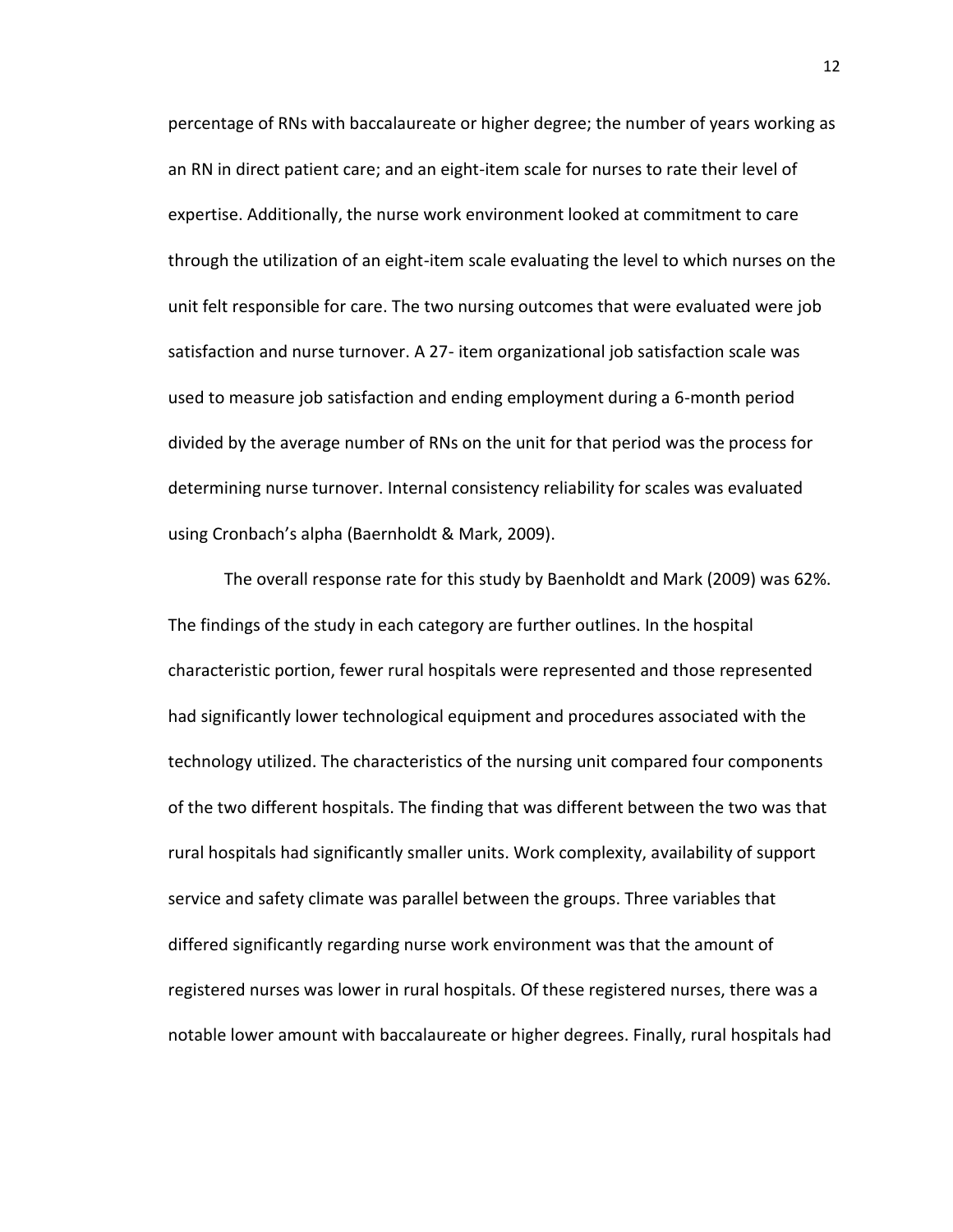percentage of RNs with baccalaureate or higher degree; the number of years working as an RN in direct patient care; and an eight-item scale for nurses to rate their level of expertise. Additionally, the nurse work environment looked at commitment to care through the utilization of an eight-item scale evaluating the level to which nurses on the unit felt responsible for care. The two nursing outcomes that were evaluated were job satisfaction and nurse turnover. A 27- item organizational job satisfaction scale was used to measure job satisfaction and ending employment during a 6-month period divided by the average number of RNs on the unit for that period was the process for determining nurse turnover. Internal consistency reliability for scales was evaluated using Cronbach's alpha (Baernholdt & Mark, 2009).

The overall response rate for this study by Baenholdt and Mark (2009) was 62%. The findings of the study in each category are further outlines. In the hospital characteristic portion, fewer rural hospitals were represented and those represented had significantly lower technological equipment and procedures associated with the technology utilized. The characteristics of the nursing unit compared four components of the two different hospitals. The finding that was different between the two was that rural hospitals had significantly smaller units. Work complexity, availability of support service and safety climate was parallel between the groups. Three variables that differed significantly regarding nurse work environment was that the amount of registered nurses was lower in rural hospitals. Of these registered nurses, there was a notable lower amount with baccalaureate or higher degrees. Finally, rural hospitals had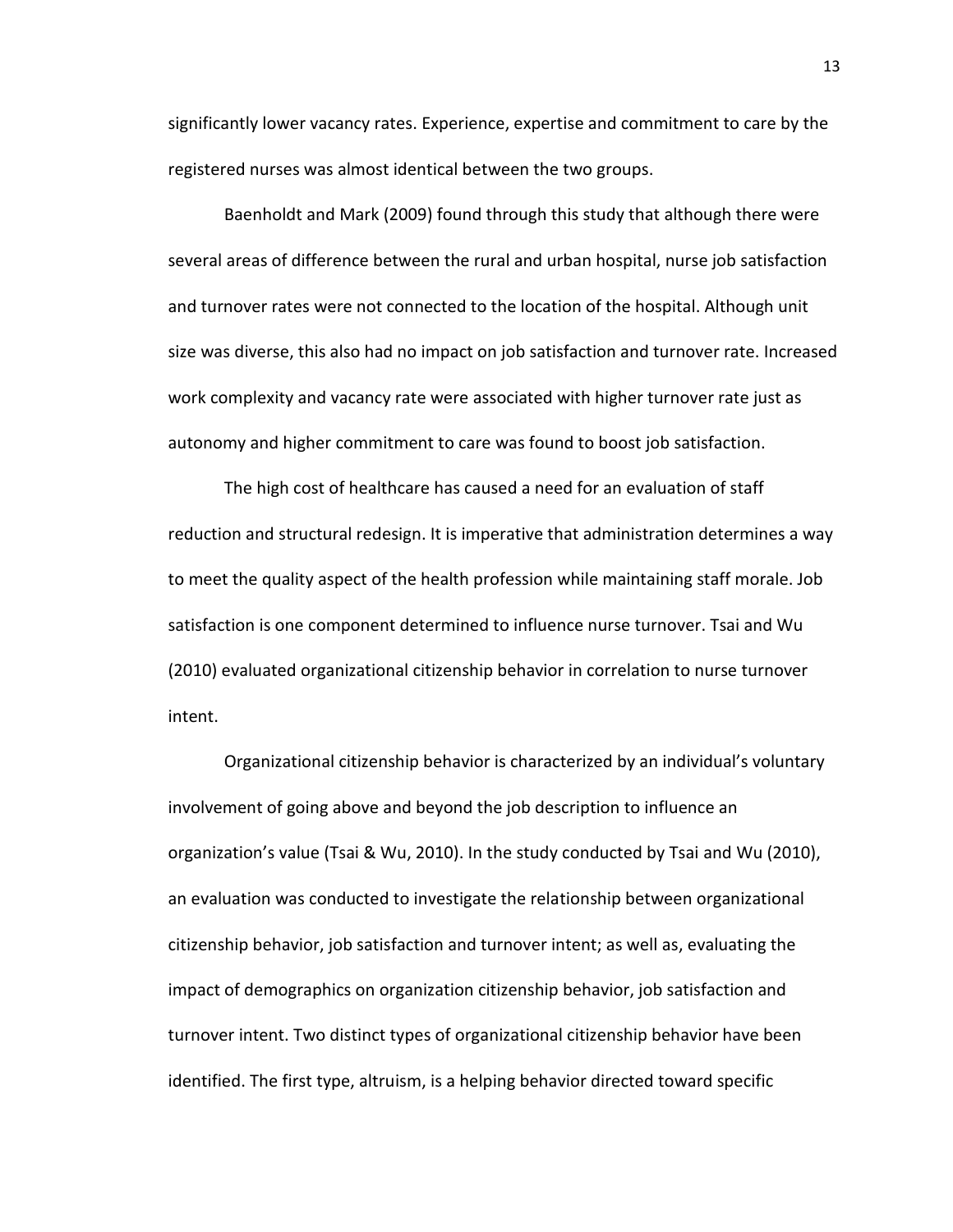significantly lower vacancy rates. Experience, expertise and commitment to care by the registered nurses was almost identical between the two groups.

Baenholdt and Mark (2009) found through this study that although there were several areas of difference between the rural and urban hospital, nurse job satisfaction and turnover rates were not connected to the location of the hospital. Although unit size was diverse, this also had no impact on job satisfaction and turnover rate. Increased work complexity and vacancy rate were associated with higher turnover rate just as autonomy and higher commitment to care was found to boost job satisfaction.

The high cost of healthcare has caused a need for an evaluation of staff reduction and structural redesign. It is imperative that administration determines a way to meet the quality aspect of the health profession while maintaining staff morale. Job satisfaction is one component determined to influence nurse turnover. Tsai and Wu (2010) evaluated organizational citizenship behavior in correlation to nurse turnover intent.

Organizational citizenship behavior is characterized by an individual's voluntary involvement of going above and beyond the job description to influence an organization's value (Tsai & Wu, 2010). In the study conducted by Tsai and Wu (2010), an evaluation was conducted to investigate the relationship between organizational citizenship behavior, job satisfaction and turnover intent; as well as, evaluating the impact of demographics on organization citizenship behavior, job satisfaction and turnover intent. Two distinct types of organizational citizenship behavior have been identified. The first type, altruism, is a helping behavior directed toward specific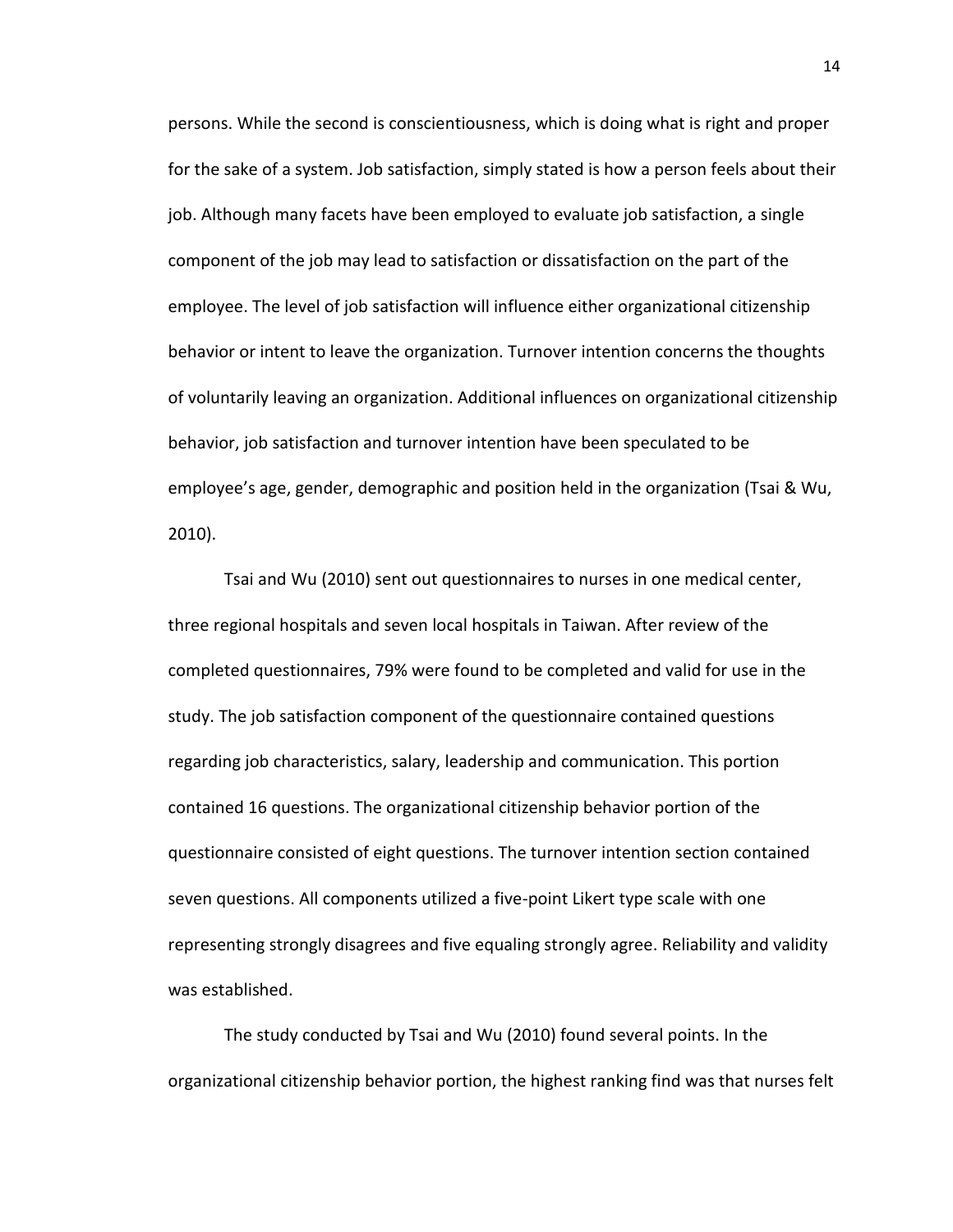persons. While the second is conscientiousness, which is doing what is right and proper for the sake of a system. Job satisfaction, simply stated is how a person feels about their job. Although many facets have been employed to evaluate job satisfaction, a single component of the job may lead to satisfaction or dissatisfaction on the part of the employee. The level of job satisfaction will influence either organizational citizenship behavior or intent to leave the organization. Turnover intention concerns the thoughts of voluntarily leaving an organization. Additional influences on organizational citizenship behavior, job satisfaction and turnover intention have been speculated to be employee's age, gender, demographic and position held in the organization (Tsai & Wu, 2010).

Tsai and Wu (2010) sent out questionnaires to nurses in one medical center, three regional hospitals and seven local hospitals in Taiwan. After review of the completed questionnaires, 79% were found to be completed and valid for use in the study. The job satisfaction component of the questionnaire contained questions regarding job characteristics, salary, leadership and communication. This portion contained 16 questions. The organizational citizenship behavior portion of the questionnaire consisted of eight questions. The turnover intention section contained seven questions. All components utilized a five-point Likert type scale with one representing strongly disagrees and five equaling strongly agree. Reliability and validity was established.

The study conducted by Tsai and Wu (2010) found several points. In the organizational citizenship behavior portion, the highest ranking find was that nurses felt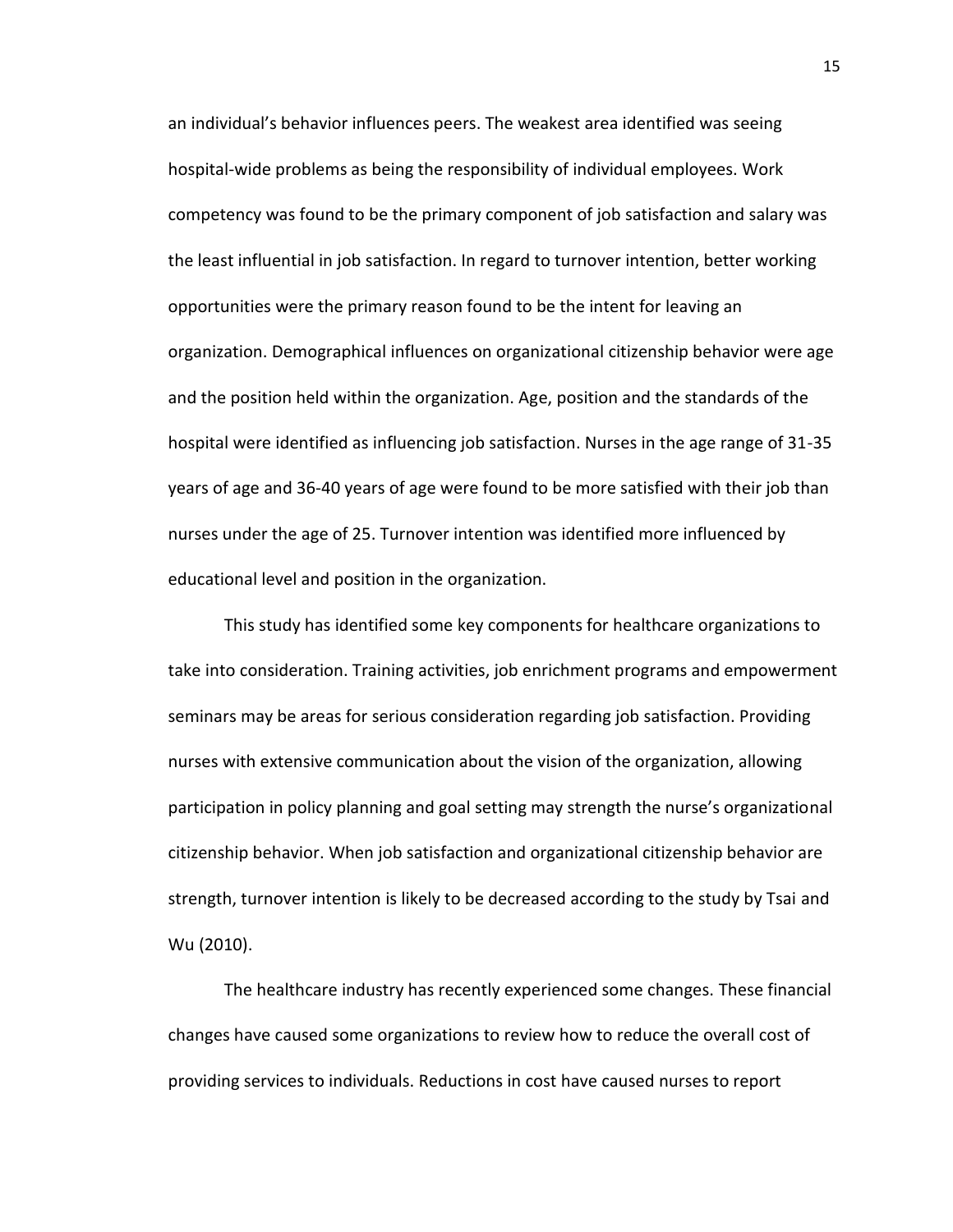an individual's behavior influences peers. The weakest area identified was seeing hospital-wide problems as being the responsibility of individual employees. Work competency was found to be the primary component of job satisfaction and salary was the least influential in job satisfaction. In regard to turnover intention, better working opportunities were the primary reason found to be the intent for leaving an organization. Demographical influences on organizational citizenship behavior were age and the position held within the organization. Age, position and the standards of the hospital were identified as influencing job satisfaction. Nurses in the age range of 31-35 years of age and 36-40 years of age were found to be more satisfied with their job than nurses under the age of 25. Turnover intention was identified more influenced by educational level and position in the organization.

This study has identified some key components for healthcare organizations to take into consideration. Training activities, job enrichment programs and empowerment seminars may be areas for serious consideration regarding job satisfaction. Providing nurses with extensive communication about the vision of the organization, allowing participation in policy planning and goal setting may strength the nurse's organizational citizenship behavior. When job satisfaction and organizational citizenship behavior are strength, turnover intention is likely to be decreased according to the study by Tsai and Wu (2010).

The healthcare industry has recently experienced some changes. These financial changes have caused some organizations to review how to reduce the overall cost of providing services to individuals. Reductions in cost have caused nurses to report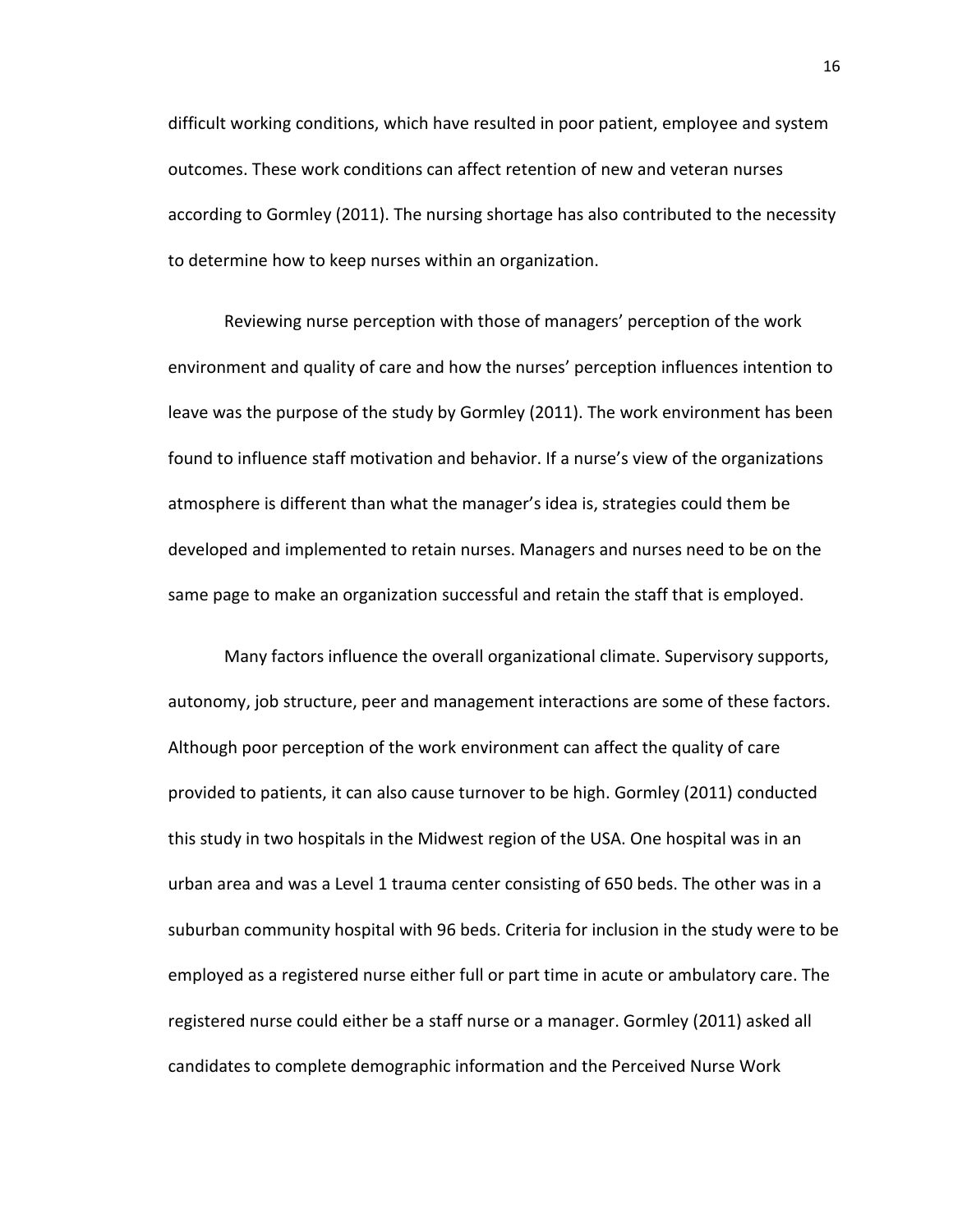difficult working conditions, which have resulted in poor patient, employee and system outcomes. These work conditions can affect retention of new and veteran nurses according to Gormley (2011). The nursing shortage has also contributed to the necessity to determine how to keep nurses within an organization.

Reviewing nurse perception with those of managers' perception of the work environment and quality of care and how the nurses' perception influences intention to leave was the purpose of the study by Gormley (2011). The work environment has been found to influence staff motivation and behavior. If a nurse's view of the organizations atmosphere is different than what the manager's idea is, strategies could them be developed and implemented to retain nurses. Managers and nurses need to be on the same page to make an organization successful and retain the staff that is employed.

Many factors influence the overall organizational climate. Supervisory supports, autonomy, job structure, peer and management interactions are some of these factors. Although poor perception of the work environment can affect the quality of care provided to patients, it can also cause turnover to be high. Gormley (2011) conducted this study in two hospitals in the Midwest region of the USA. One hospital was in an urban area and was a Level 1 trauma center consisting of 650 beds. The other was in a suburban community hospital with 96 beds. Criteria for inclusion in the study were to be employed as a registered nurse either full or part time in acute or ambulatory care. The registered nurse could either be a staff nurse or a manager. Gormley (2011) asked all candidates to complete demographic information and the Perceived Nurse Work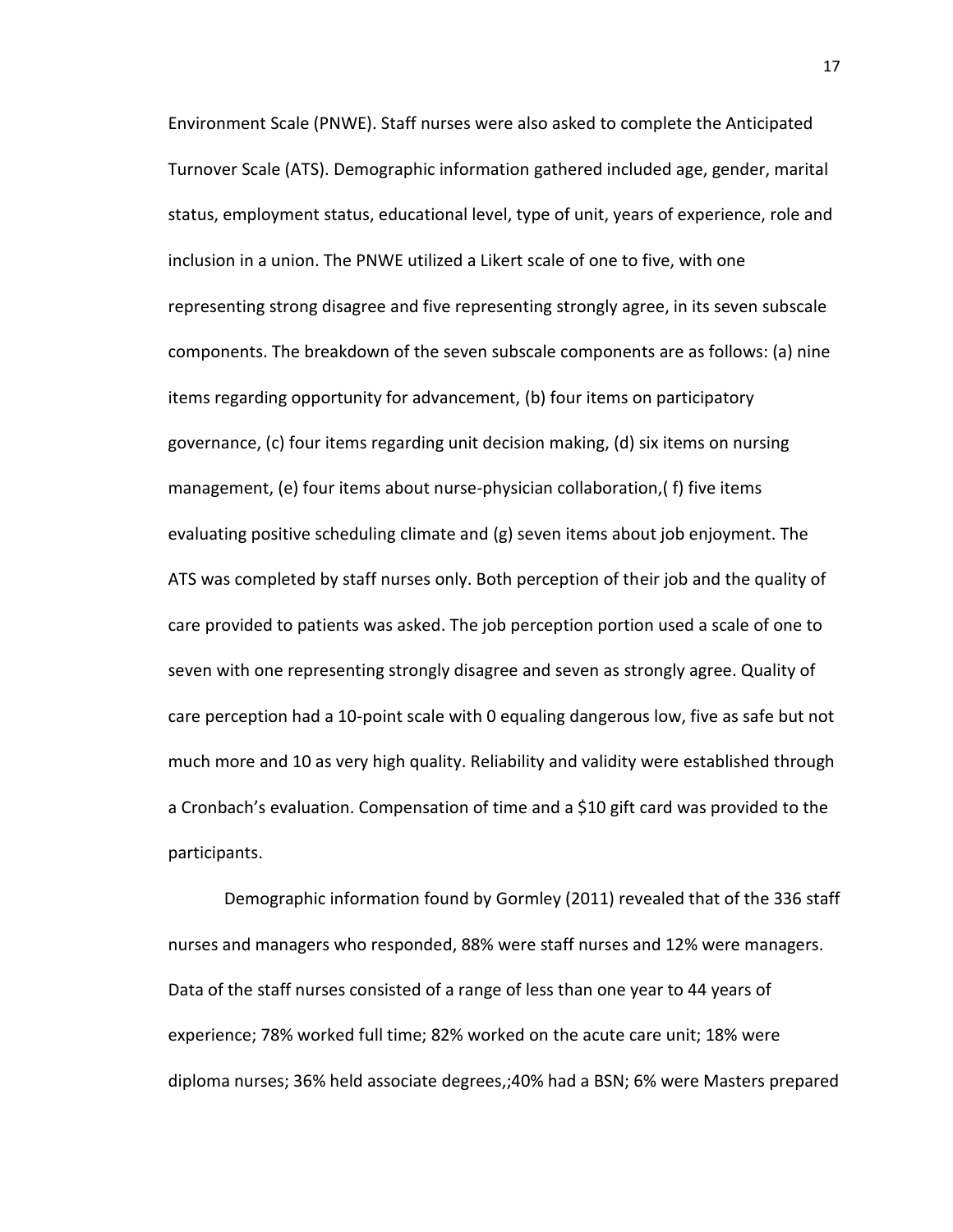Environment Scale (PNWE). Staff nurses were also asked to complete the Anticipated Turnover Scale (ATS). Demographic information gathered included age, gender, marital status, employment status, educational level, type of unit, years of experience, role and inclusion in a union. The PNWE utilized a Likert scale of one to five, with one representing strong disagree and five representing strongly agree, in its seven subscale components. The breakdown of the seven subscale components are as follows: (a) nine items regarding opportunity for advancement, (b) four items on participatory governance, (c) four items regarding unit decision making, (d) six items on nursing management, (e) four items about nurse-physician collaboration,( f) five items evaluating positive scheduling climate and (g) seven items about job enjoyment. The ATS was completed by staff nurses only. Both perception of their job and the quality of care provided to patients was asked. The job perception portion used a scale of one to seven with one representing strongly disagree and seven as strongly agree. Quality of care perception had a 10-point scale with 0 equaling dangerous low, five as safe but not much more and 10 as very high quality. Reliability and validity were established through a Cronbach's evaluation. Compensation of time and a \$10 gift card was provided to the participants.

Demographic information found by Gormley (2011) revealed that of the 336 staff nurses and managers who responded, 88% were staff nurses and 12% were managers. Data of the staff nurses consisted of a range of less than one year to 44 years of experience; 78% worked full time; 82% worked on the acute care unit; 18% were diploma nurses; 36% held associate degrees,;40% had a BSN; 6% were Masters prepared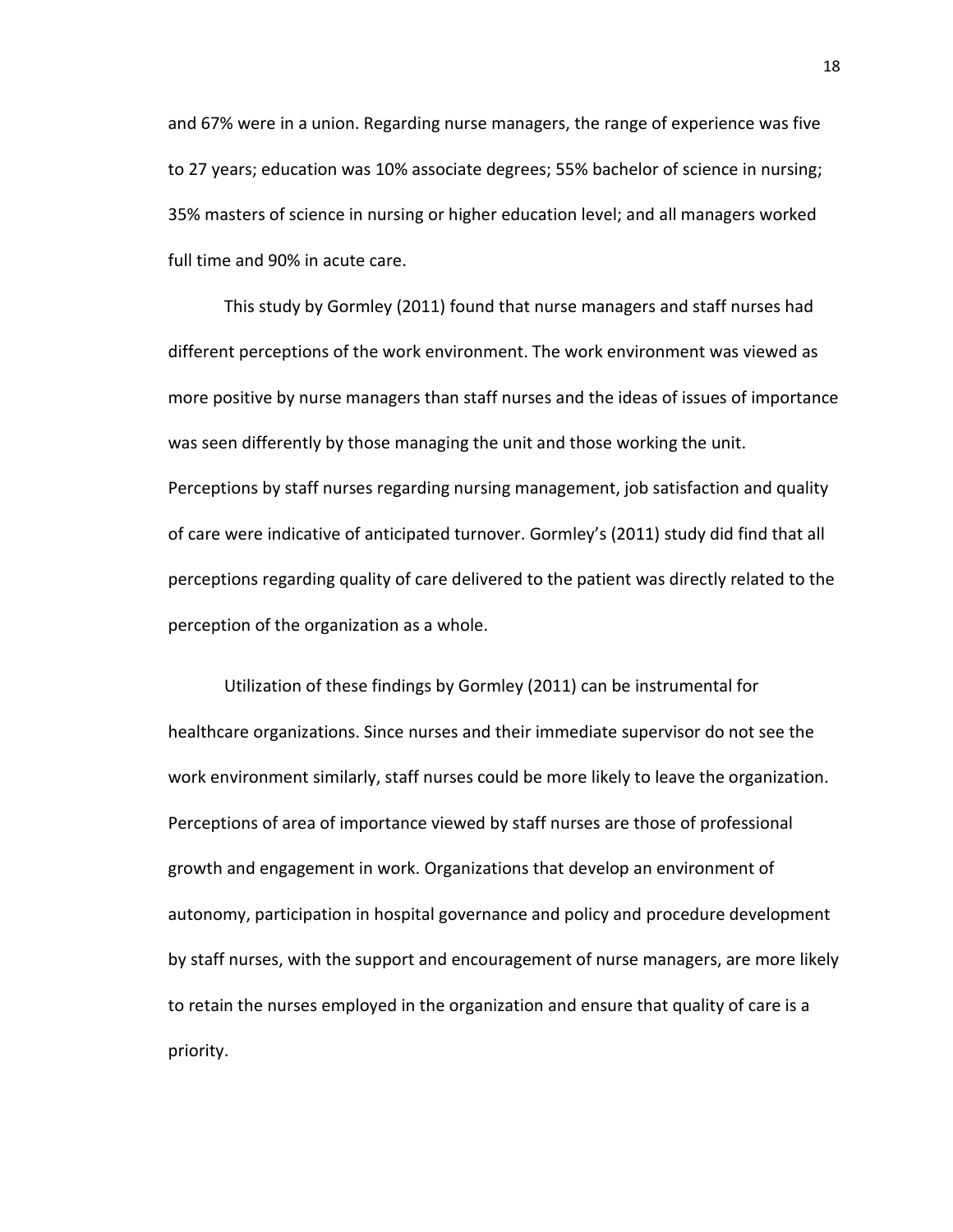and 67% were in a union. Regarding nurse managers, the range of experience was five to 27 years; education was 10% associate degrees; 55% bachelor of science in nursing; 35% masters of science in nursing or higher education level; and all managers worked full time and 90% in acute care.

This study by Gormley (2011) found that nurse managers and staff nurses had different perceptions of the work environment. The work environment was viewed as more positive by nurse managers than staff nurses and the ideas of issues of importance was seen differently by those managing the unit and those working the unit. Perceptions by staff nurses regarding nursing management, job satisfaction and quality of care were indicative of anticipated turnover. Gormley's (2011) study did find that all perceptions regarding quality of care delivered to the patient was directly related to the perception of the organization as a whole.

Utilization of these findings by Gormley (2011) can be instrumental for healthcare organizations. Since nurses and their immediate supervisor do not see the work environment similarly, staff nurses could be more likely to leave the organization. Perceptions of area of importance viewed by staff nurses are those of professional growth and engagement in work. Organizations that develop an environment of autonomy, participation in hospital governance and policy and procedure development by staff nurses, with the support and encouragement of nurse managers, are more likely to retain the nurses employed in the organization and ensure that quality of care is a priority.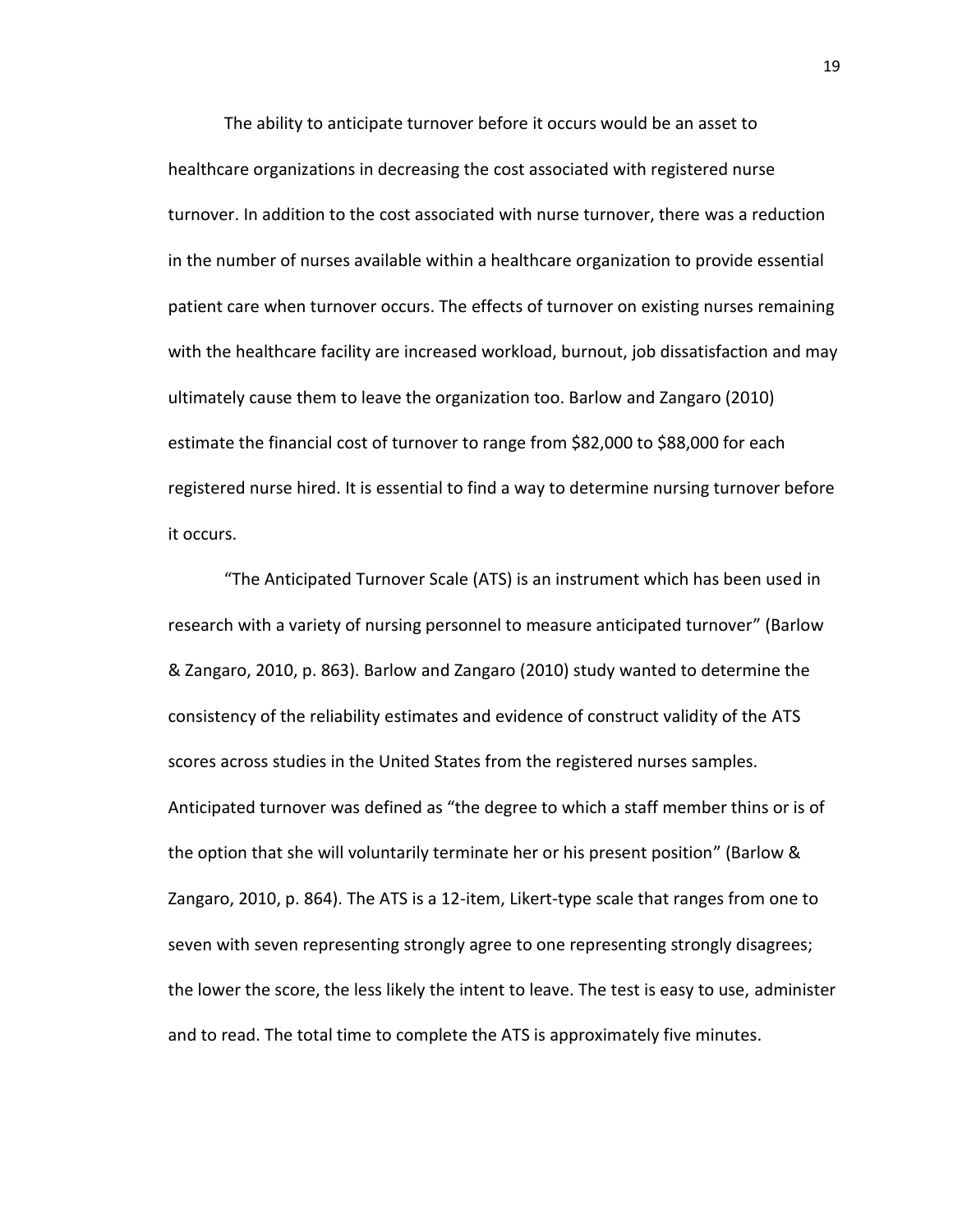The ability to anticipate turnover before it occurs would be an asset to healthcare organizations in decreasing the cost associated with registered nurse turnover. In addition to the cost associated with nurse turnover, there was a reduction in the number of nurses available within a healthcare organization to provide essential patient care when turnover occurs. The effects of turnover on existing nurses remaining with the healthcare facility are increased workload, burnout, job dissatisfaction and may ultimately cause them to leave the organization too. Barlow and Zangaro (2010) estimate the financial cost of turnover to range from \$82,000 to \$88,000 for each registered nurse hired. It is essential to find a way to determine nursing turnover before it occurs.

"The Anticipated Turnover Scale (ATS) is an instrument which has been used in research with a variety of nursing personnel to measure anticipated turnover" (Barlow & Zangaro, 2010, p. 863). Barlow and Zangaro (2010) study wanted to determine the consistency of the reliability estimates and evidence of construct validity of the ATS scores across studies in the United States from the registered nurses samples. Anticipated turnover was defined as "the degree to which a staff member thins or is of the option that she will voluntarily terminate her or his present position" (Barlow & Zangaro, 2010, p. 864). The ATS is a 12-item, Likert-type scale that ranges from one to seven with seven representing strongly agree to one representing strongly disagrees; the lower the score, the less likely the intent to leave. The test is easy to use, administer and to read. The total time to complete the ATS is approximately five minutes.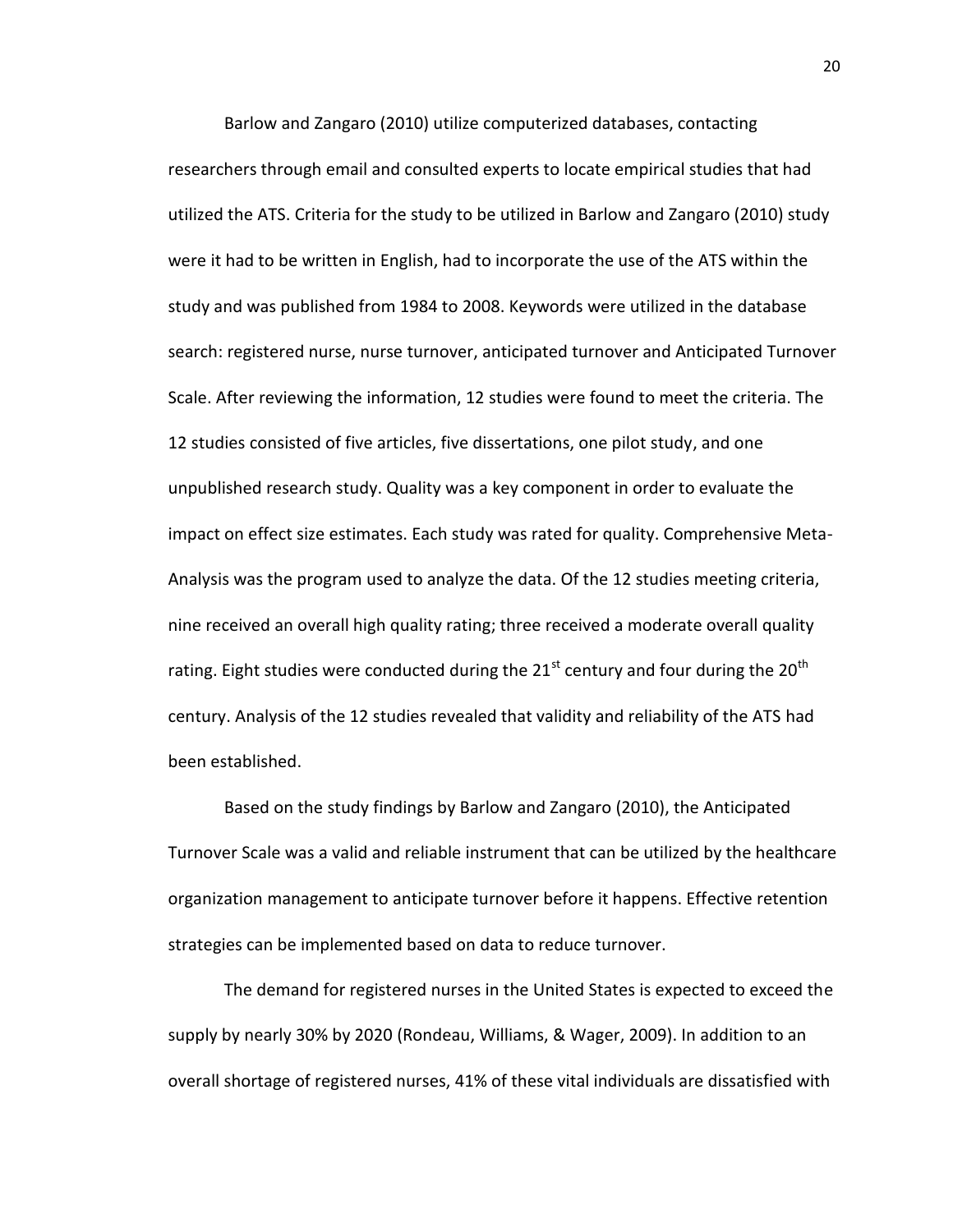Barlow and Zangaro (2010) utilize computerized databases, contacting researchers through email and consulted experts to locate empirical studies that had utilized the ATS. Criteria for the study to be utilized in Barlow and Zangaro (2010) study were it had to be written in English, had to incorporate the use of the ATS within the study and was published from 1984 to 2008. Keywords were utilized in the database search: registered nurse, nurse turnover, anticipated turnover and Anticipated Turnover Scale. After reviewing the information, 12 studies were found to meet the criteria. The 12 studies consisted of five articles, five dissertations, one pilot study, and one unpublished research study. Quality was a key component in order to evaluate the impact on effect size estimates. Each study was rated for quality. Comprehensive Meta-Analysis was the program used to analyze the data. Of the 12 studies meeting criteria, nine received an overall high quality rating; three received a moderate overall quality rating. Eight studies were conducted during the  $21^{st}$  century and four during the  $20^{th}$ century. Analysis of the 12 studies revealed that validity and reliability of the ATS had been established.

Based on the study findings by Barlow and Zangaro (2010), the Anticipated Turnover Scale was a valid and reliable instrument that can be utilized by the healthcare organization management to anticipate turnover before it happens. Effective retention strategies can be implemented based on data to reduce turnover.

The demand for registered nurses in the United States is expected to exceed the supply by nearly 30% by 2020 (Rondeau, Williams, & Wager, 2009). In addition to an overall shortage of registered nurses, 41% of these vital individuals are dissatisfied with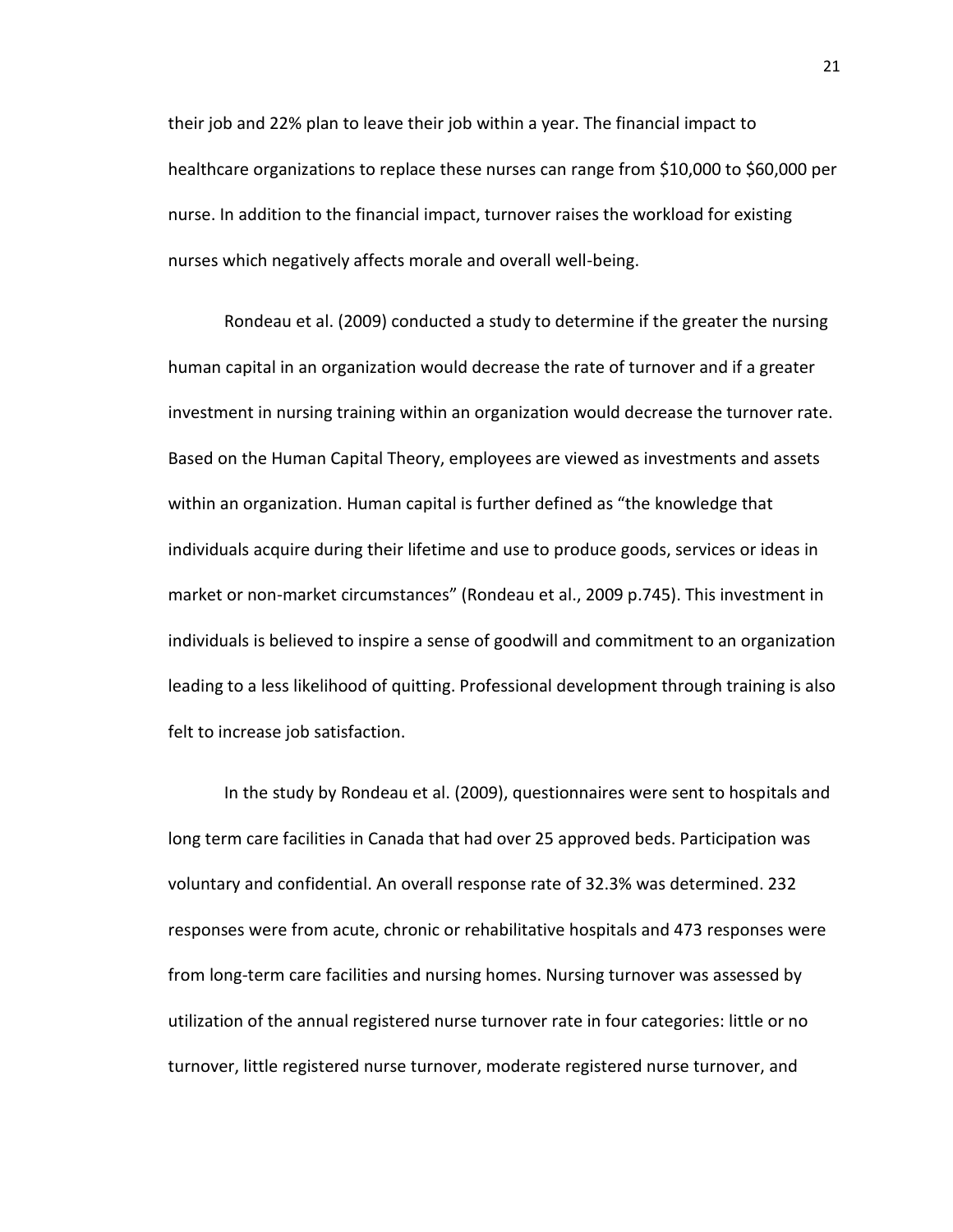their job and 22% plan to leave their job within a year. The financial impact to healthcare organizations to replace these nurses can range from \$10,000 to \$60,000 per nurse. In addition to the financial impact, turnover raises the workload for existing nurses which negatively affects morale and overall well-being.

Rondeau et al. (2009) conducted a study to determine if the greater the nursing human capital in an organization would decrease the rate of turnover and if a greater investment in nursing training within an organization would decrease the turnover rate. Based on the Human Capital Theory, employees are viewed as investments and assets within an organization. Human capital is further defined as "the knowledge that individuals acquire during their lifetime and use to produce goods, services or ideas in market or non-market circumstances" (Rondeau et al., 2009 p.745). This investment in individuals is believed to inspire a sense of goodwill and commitment to an organization leading to a less likelihood of quitting. Professional development through training is also felt to increase job satisfaction.

In the study by Rondeau et al. (2009), questionnaires were sent to hospitals and long term care facilities in Canada that had over 25 approved beds. Participation was voluntary and confidential. An overall response rate of 32.3% was determined. 232 responses were from acute, chronic or rehabilitative hospitals and 473 responses were from long-term care facilities and nursing homes. Nursing turnover was assessed by utilization of the annual registered nurse turnover rate in four categories: little or no turnover, little registered nurse turnover, moderate registered nurse turnover, and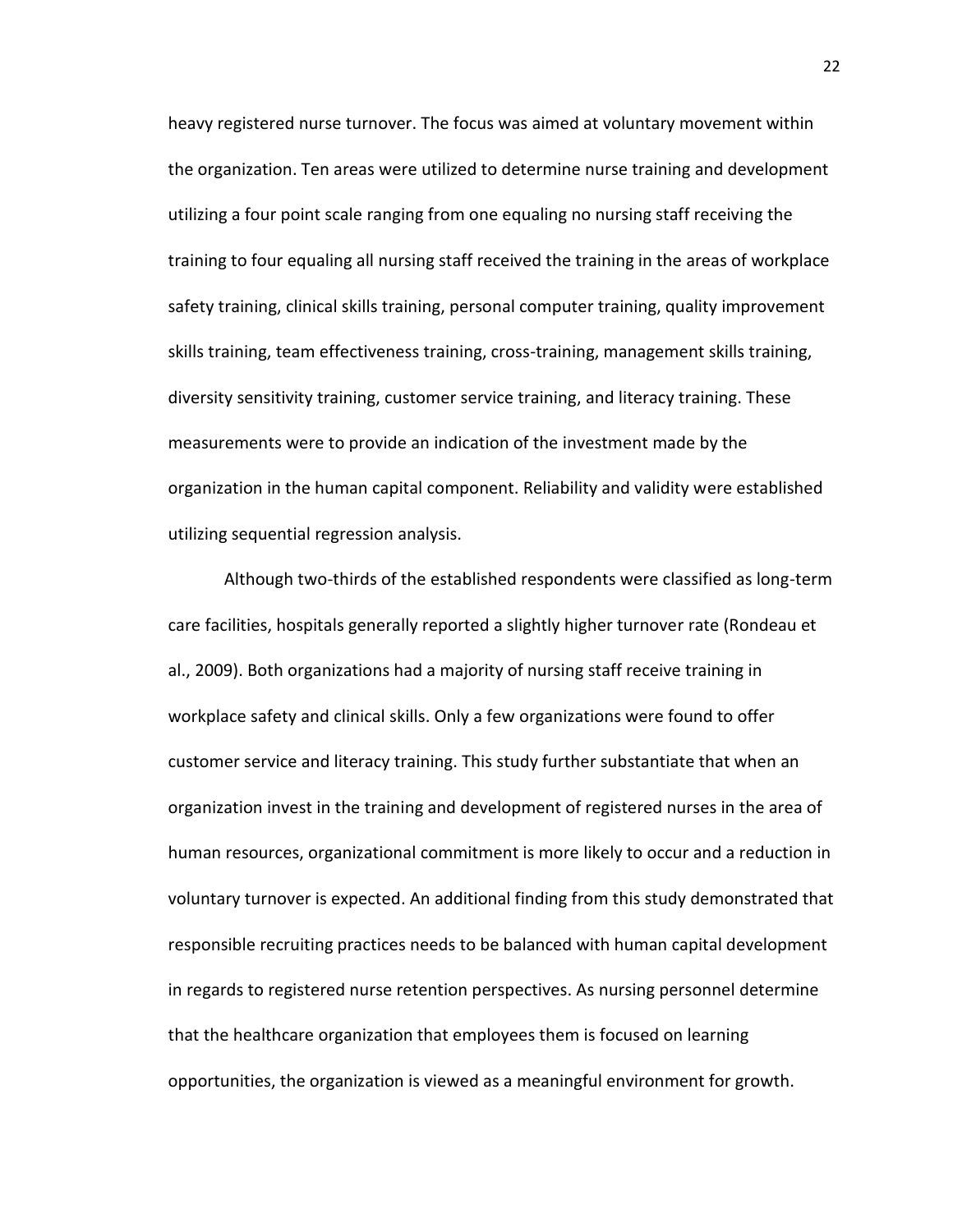heavy registered nurse turnover. The focus was aimed at voluntary movement within the organization. Ten areas were utilized to determine nurse training and development utilizing a four point scale ranging from one equaling no nursing staff receiving the training to four equaling all nursing staff received the training in the areas of workplace safety training, clinical skills training, personal computer training, quality improvement skills training, team effectiveness training, cross-training, management skills training, diversity sensitivity training, customer service training, and literacy training. These measurements were to provide an indication of the investment made by the organization in the human capital component. Reliability and validity were established utilizing sequential regression analysis.

Although two-thirds of the established respondents were classified as long-term care facilities, hospitals generally reported a slightly higher turnover rate (Rondeau et al., 2009). Both organizations had a majority of nursing staff receive training in workplace safety and clinical skills. Only a few organizations were found to offer customer service and literacy training. This study further substantiate that when an organization invest in the training and development of registered nurses in the area of human resources, organizational commitment is more likely to occur and a reduction in voluntary turnover is expected. An additional finding from this study demonstrated that responsible recruiting practices needs to be balanced with human capital development in regards to registered nurse retention perspectives. As nursing personnel determine that the healthcare organization that employees them is focused on learning opportunities, the organization is viewed as a meaningful environment for growth.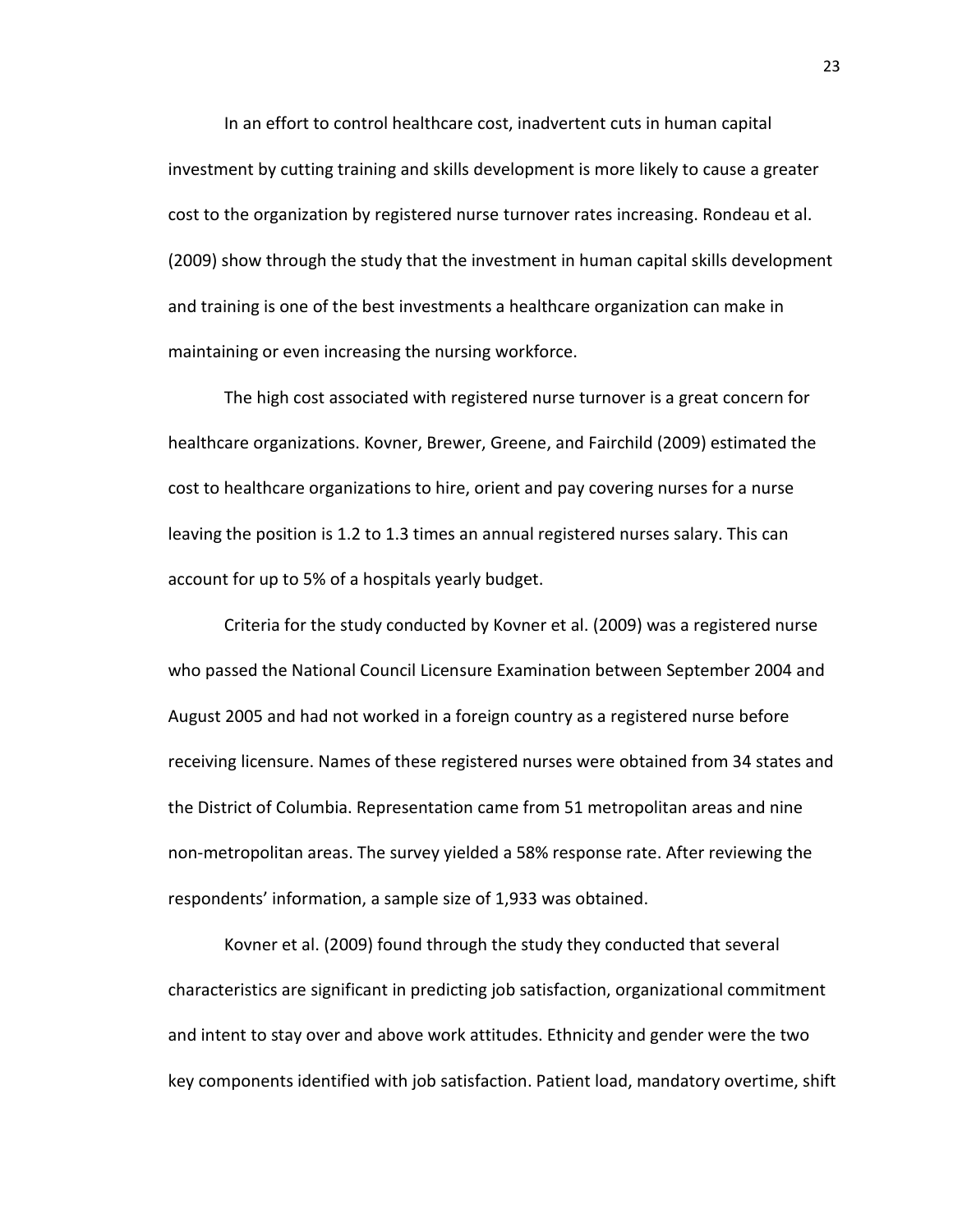In an effort to control healthcare cost, inadvertent cuts in human capital investment by cutting training and skills development is more likely to cause a greater cost to the organization by registered nurse turnover rates increasing. Rondeau et al. (2009) show through the study that the investment in human capital skills development and training is one of the best investments a healthcare organization can make in maintaining or even increasing the nursing workforce.

The high cost associated with registered nurse turnover is a great concern for healthcare organizations. Kovner, Brewer, Greene, and Fairchild (2009) estimated the cost to healthcare organizations to hire, orient and pay covering nurses for a nurse leaving the position is 1.2 to 1.3 times an annual registered nurses salary. This can account for up to 5% of a hospitals yearly budget.

Criteria for the study conducted by Kovner et al. (2009) was a registered nurse who passed the National Council Licensure Examination between September 2004 and August 2005 and had not worked in a foreign country as a registered nurse before receiving licensure. Names of these registered nurses were obtained from 34 states and the District of Columbia. Representation came from 51 metropolitan areas and nine non-metropolitan areas. The survey yielded a 58% response rate. After reviewing the respondents' information, a sample size of 1,933 was obtained.

Kovner et al. (2009) found through the study they conducted that several characteristics are significant in predicting job satisfaction, organizational commitment and intent to stay over and above work attitudes. Ethnicity and gender were the two key components identified with job satisfaction. Patient load, mandatory overtime, shift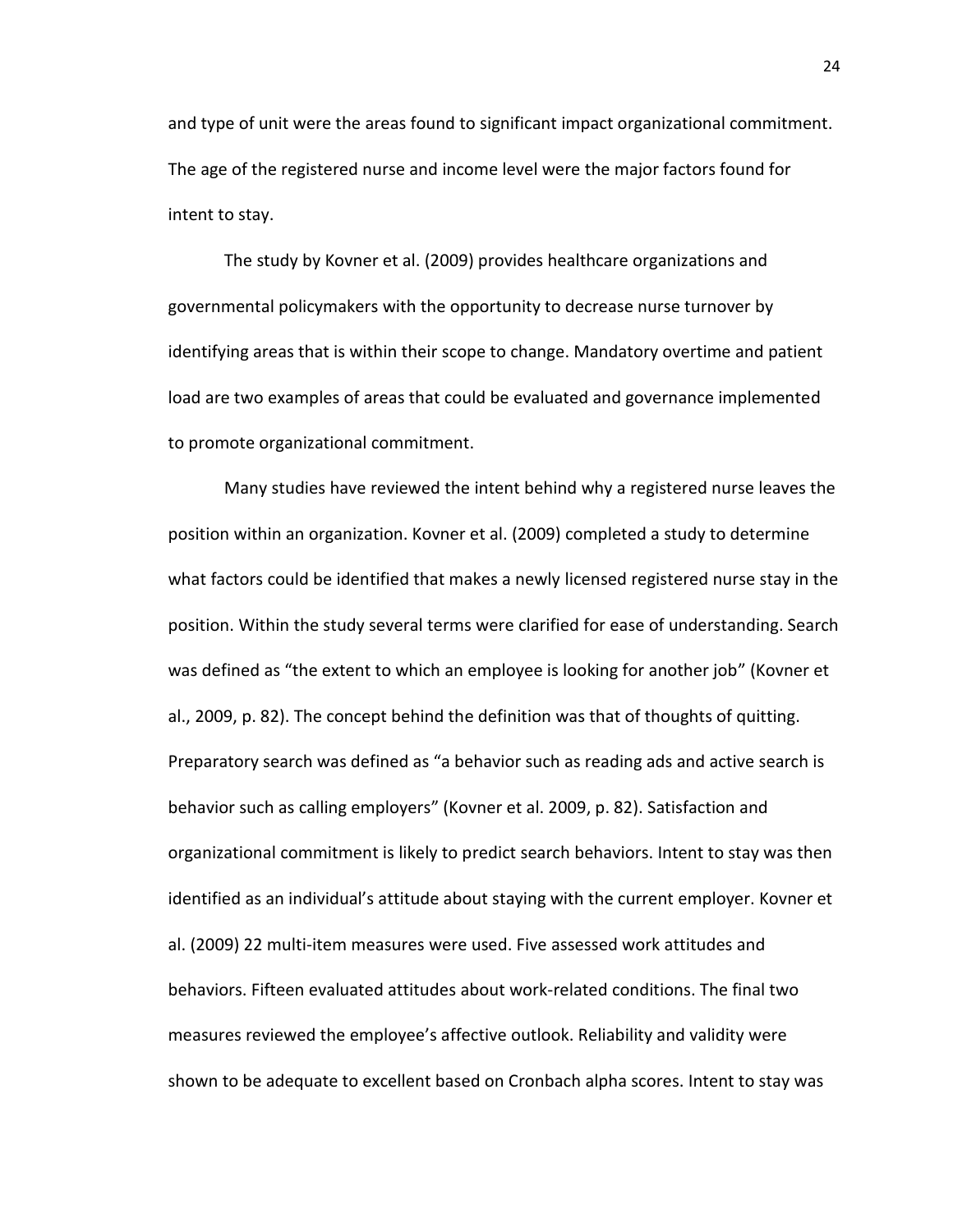and type of unit were the areas found to significant impact organizational commitment. The age of the registered nurse and income level were the major factors found for intent to stay.

The study by Kovner et al. (2009) provides healthcare organizations and governmental policymakers with the opportunity to decrease nurse turnover by identifying areas that is within their scope to change. Mandatory overtime and patient load are two examples of areas that could be evaluated and governance implemented to promote organizational commitment.

Many studies have reviewed the intent behind why a registered nurse leaves the position within an organization. Kovner et al. (2009) completed a study to determine what factors could be identified that makes a newly licensed registered nurse stay in the position. Within the study several terms were clarified for ease of understanding. Search was defined as "the extent to which an employee is looking for another job" (Kovner et al., 2009, p. 82). The concept behind the definition was that of thoughts of quitting. Preparatory search was defined as "a behavior such as reading ads and active search is behavior such as calling employers" (Kovner et al. 2009, p. 82). Satisfaction and organizational commitment is likely to predict search behaviors. Intent to stay was then identified as an individual's attitude about staying with the current employer. Kovner et al. (2009) 22 multi-item measures were used. Five assessed work attitudes and behaviors. Fifteen evaluated attitudes about work-related conditions. The final two measures reviewed the employee's affective outlook. Reliability and validity were shown to be adequate to excellent based on Cronbach alpha scores. Intent to stay was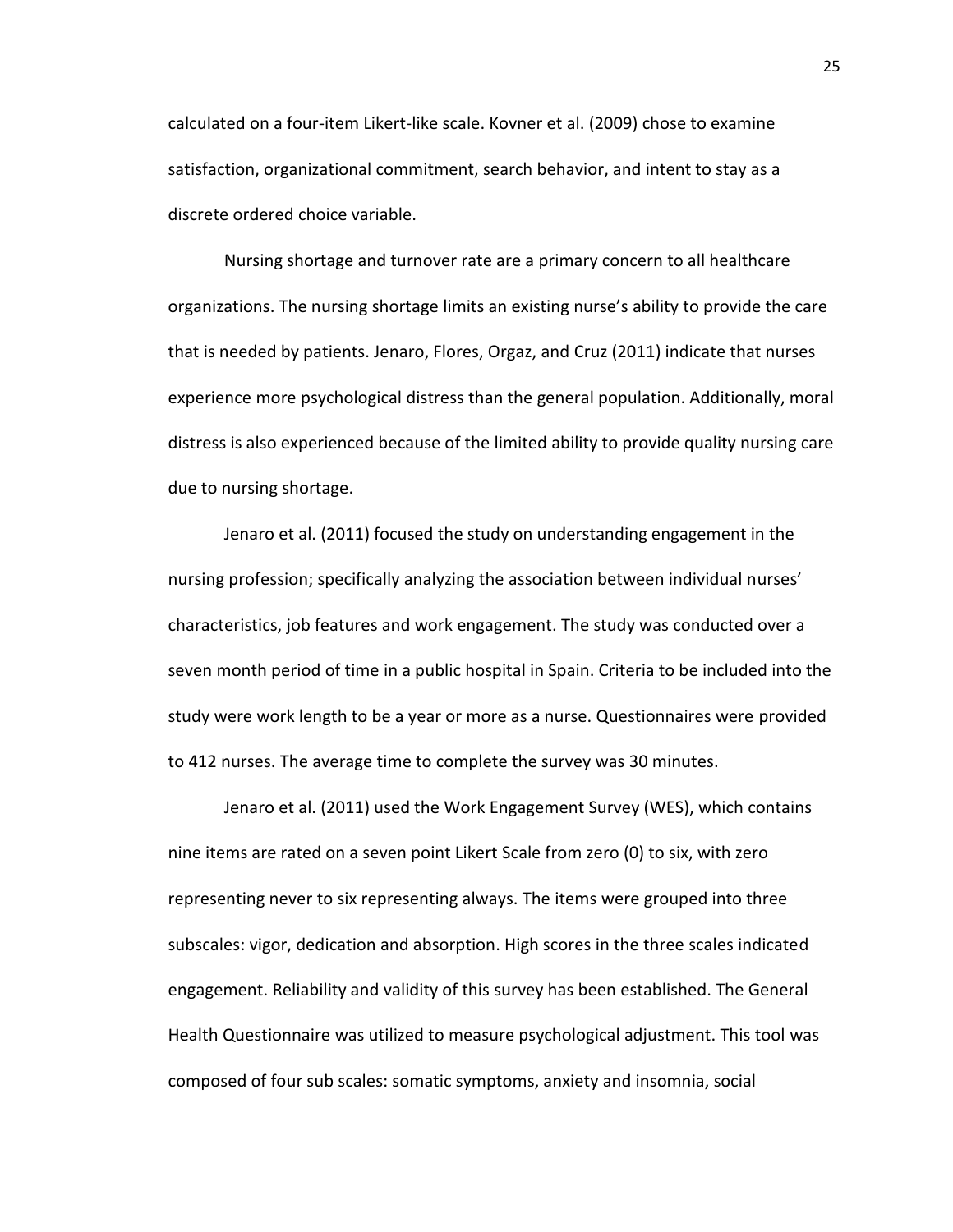calculated on a four-item Likert-like scale. Kovner et al. (2009) chose to examine satisfaction, organizational commitment, search behavior, and intent to stay as a discrete ordered choice variable.

Nursing shortage and turnover rate are a primary concern to all healthcare organizations. The nursing shortage limits an existing nurse's ability to provide the care that is needed by patients. Jenaro, Flores, Orgaz, and Cruz (2011) indicate that nurses experience more psychological distress than the general population. Additionally, moral distress is also experienced because of the limited ability to provide quality nursing care due to nursing shortage.

Jenaro et al. (2011) focused the study on understanding engagement in the nursing profession; specifically analyzing the association between individual nurses' characteristics, job features and work engagement. The study was conducted over a seven month period of time in a public hospital in Spain. Criteria to be included into the study were work length to be a year or more as a nurse. Questionnaires were provided to 412 nurses. The average time to complete the survey was 30 minutes.

Jenaro et al. (2011) used the Work Engagement Survey (WES), which contains nine items are rated on a seven point Likert Scale from zero (0) to six, with zero representing never to six representing always. The items were grouped into three subscales: vigor, dedication and absorption. High scores in the three scales indicated engagement. Reliability and validity of this survey has been established. The General Health Questionnaire was utilized to measure psychological adjustment. This tool was composed of four sub scales: somatic symptoms, anxiety and insomnia, social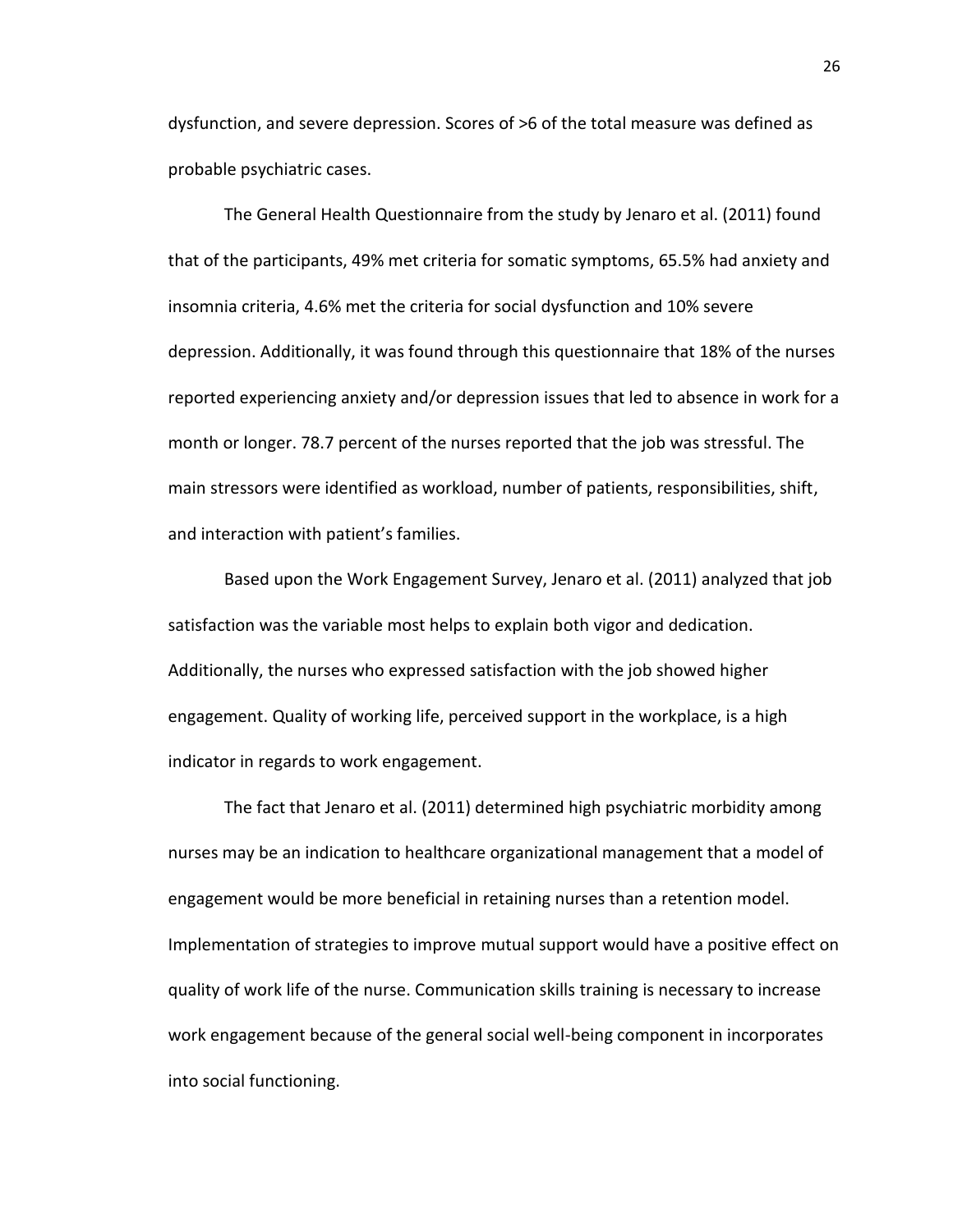dysfunction, and severe depression. Scores of >6 of the total measure was defined as probable psychiatric cases.

The General Health Questionnaire from the study by Jenaro et al. (2011) found that of the participants, 49% met criteria for somatic symptoms, 65.5% had anxiety and insomnia criteria, 4.6% met the criteria for social dysfunction and 10% severe depression. Additionally, it was found through this questionnaire that 18% of the nurses reported experiencing anxiety and/or depression issues that led to absence in work for a month or longer. 78.7 percent of the nurses reported that the job was stressful. The main stressors were identified as workload, number of patients, responsibilities, shift, and interaction with patient's families.

Based upon the Work Engagement Survey, Jenaro et al. (2011) analyzed that job satisfaction was the variable most helps to explain both vigor and dedication. Additionally, the nurses who expressed satisfaction with the job showed higher engagement. Quality of working life, perceived support in the workplace, is a high indicator in regards to work engagement.

The fact that Jenaro et al. (2011) determined high psychiatric morbidity among nurses may be an indication to healthcare organizational management that a model of engagement would be more beneficial in retaining nurses than a retention model. Implementation of strategies to improve mutual support would have a positive effect on quality of work life of the nurse. Communication skills training is necessary to increase work engagement because of the general social well-being component in incorporates into social functioning.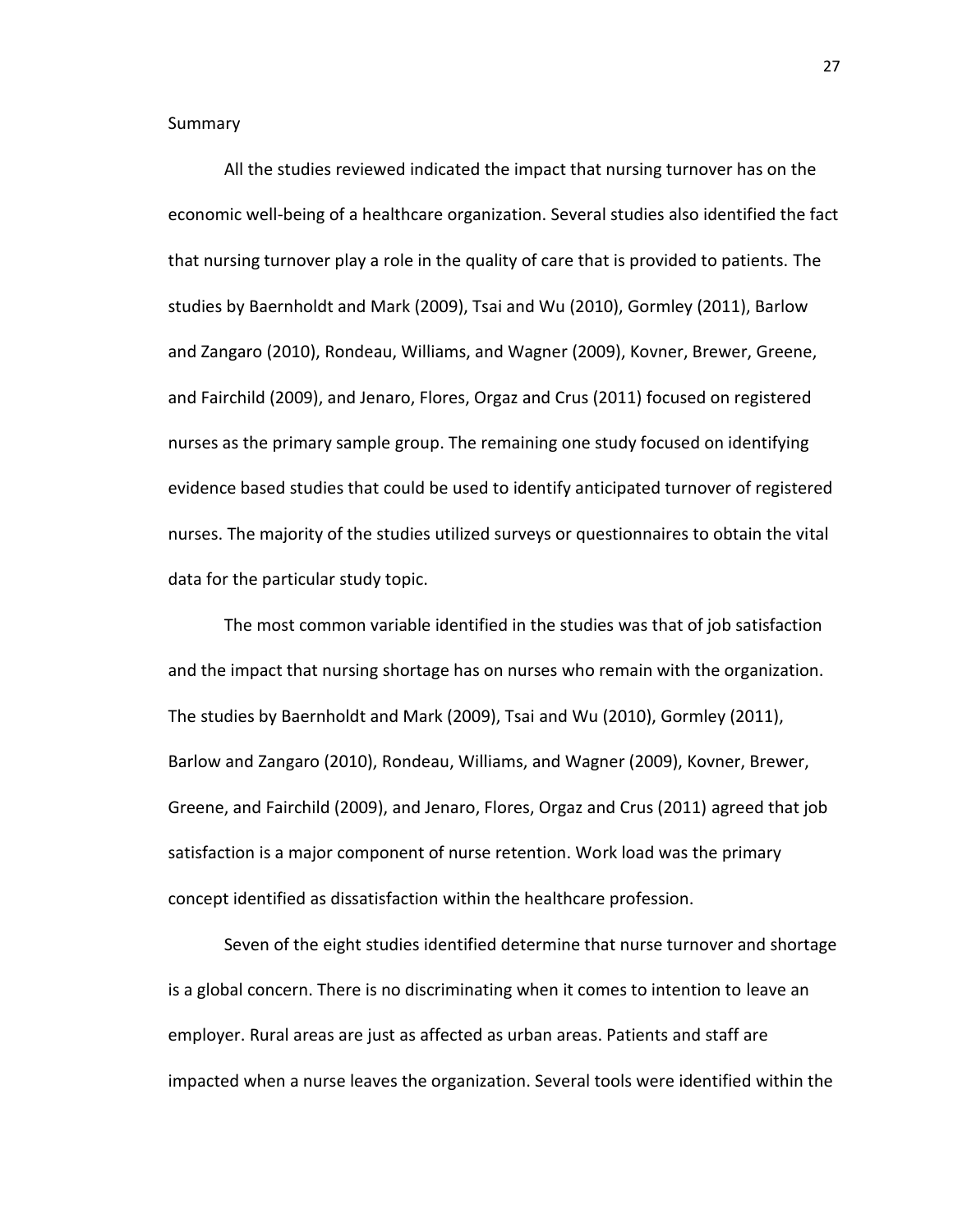Summary

All the studies reviewed indicated the impact that nursing turnover has on the economic well-being of a healthcare organization. Several studies also identified the fact that nursing turnover play a role in the quality of care that is provided to patients. The studies by Baernholdt and Mark (2009), Tsai and Wu (2010), Gormley (2011), Barlow and Zangaro (2010), Rondeau, Williams, and Wagner (2009), Kovner, Brewer, Greene, and Fairchild (2009), and Jenaro, Flores, Orgaz and Crus (2011) focused on registered nurses as the primary sample group. The remaining one study focused on identifying evidence based studies that could be used to identify anticipated turnover of registered nurses. The majority of the studies utilized surveys or questionnaires to obtain the vital data for the particular study topic.

The most common variable identified in the studies was that of job satisfaction and the impact that nursing shortage has on nurses who remain with the organization. The studies by Baernholdt and Mark (2009), Tsai and Wu (2010), Gormley (2011), Barlow and Zangaro (2010), Rondeau, Williams, and Wagner (2009), Kovner, Brewer, Greene, and Fairchild (2009), and Jenaro, Flores, Orgaz and Crus (2011) agreed that job satisfaction is a major component of nurse retention. Work load was the primary concept identified as dissatisfaction within the healthcare profession.

Seven of the eight studies identified determine that nurse turnover and shortage is a global concern. There is no discriminating when it comes to intention to leave an employer. Rural areas are just as affected as urban areas. Patients and staff are impacted when a nurse leaves the organization. Several tools were identified within the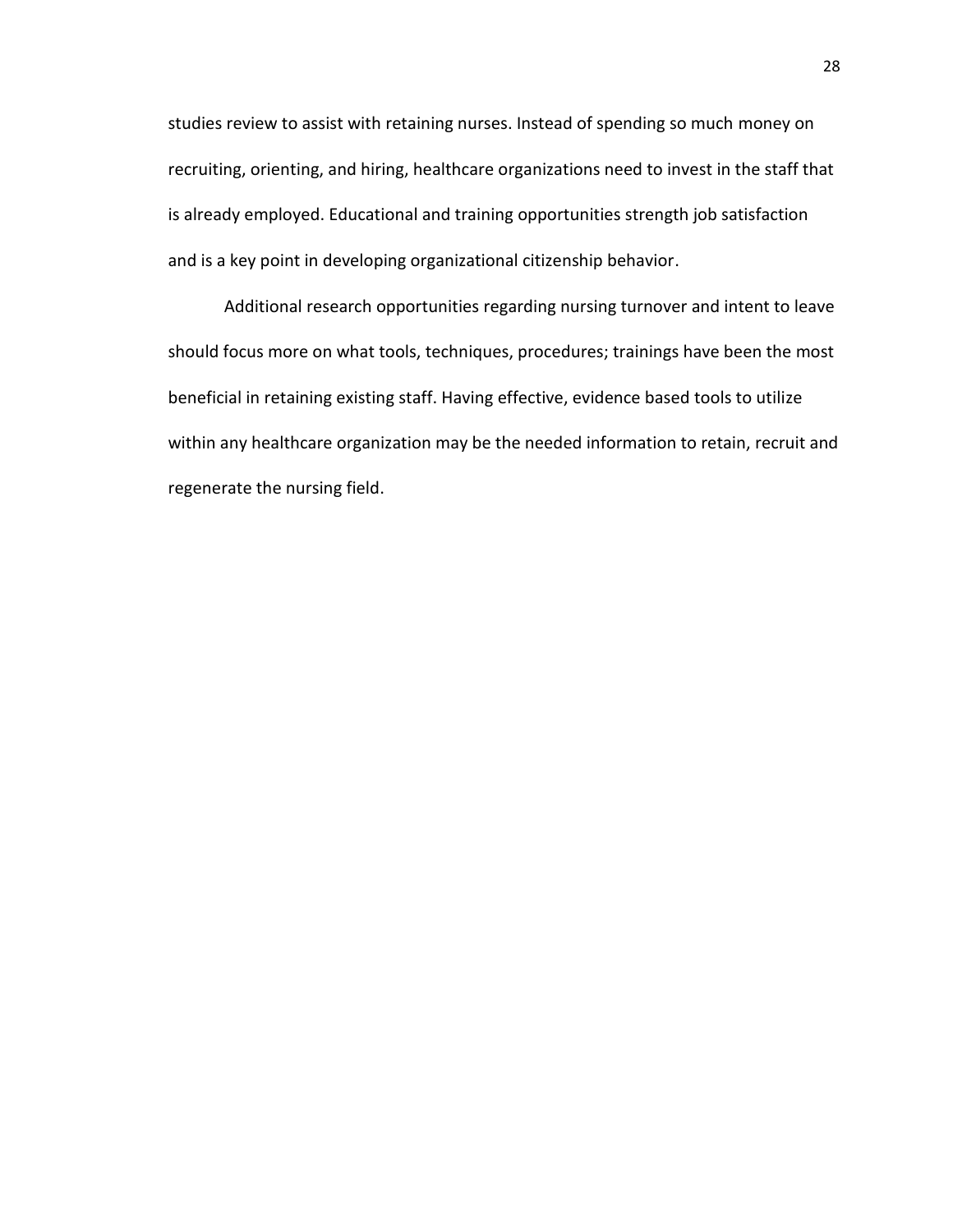studies review to assist with retaining nurses. Instead of spending so much money on recruiting, orienting, and hiring, healthcare organizations need to invest in the staff that is already employed. Educational and training opportunities strength job satisfaction and is a key point in developing organizational citizenship behavior.

Additional research opportunities regarding nursing turnover and intent to leave should focus more on what tools, techniques, procedures; trainings have been the most beneficial in retaining existing staff. Having effective, evidence based tools to utilize within any healthcare organization may be the needed information to retain, recruit and regenerate the nursing field.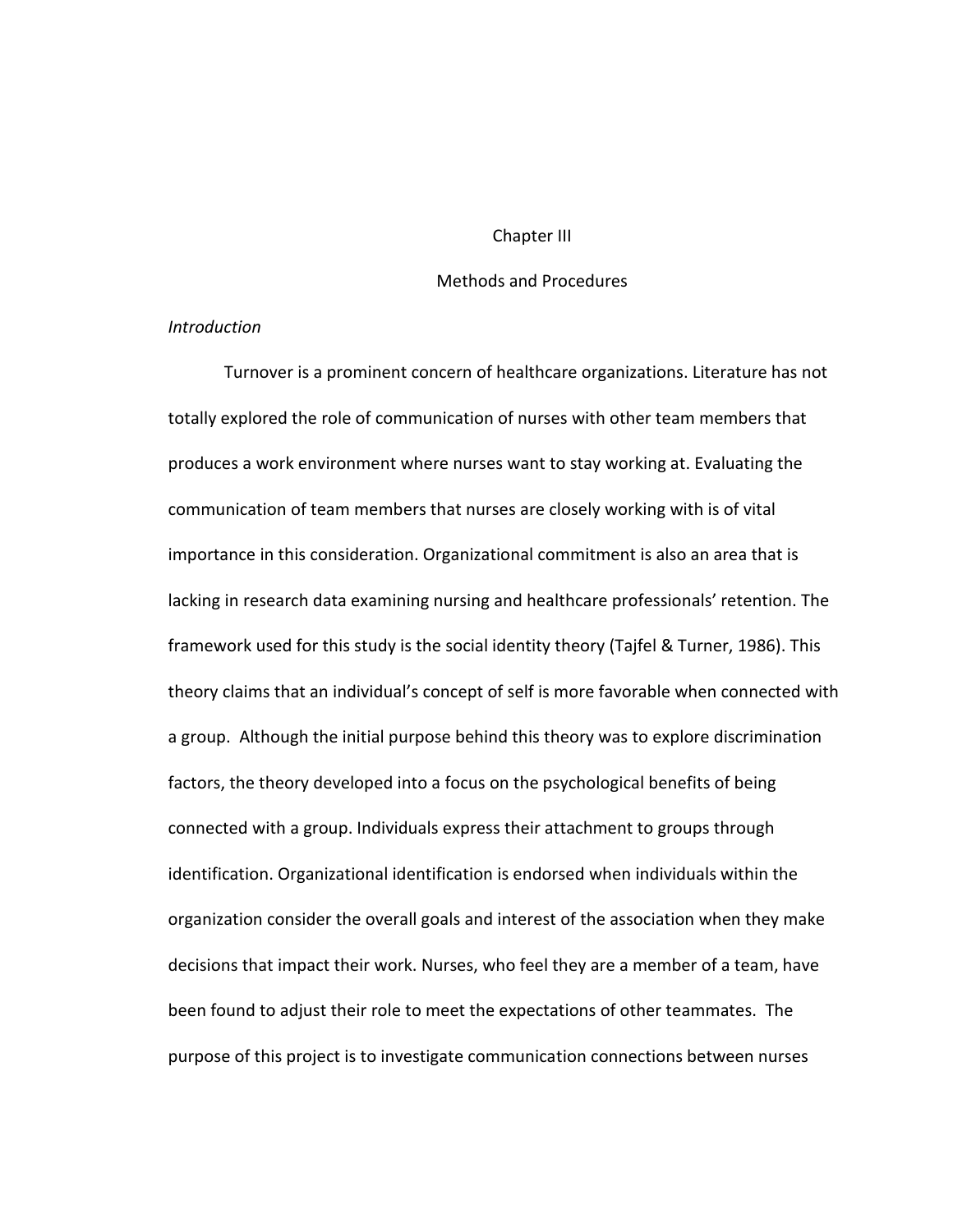## Chapter III

# Methods and Procedures

#### *Introduction*

Turnover is a prominent concern of healthcare organizations. Literature has not totally explored the role of communication of nurses with other team members that produces a work environment where nurses want to stay working at. Evaluating the communication of team members that nurses are closely working with is of vital importance in this consideration. Organizational commitment is also an area that is lacking in research data examining nursing and healthcare professionals' retention. The framework used for this study is the social identity theory (Tajfel & Turner, 1986). This theory claims that an individual's concept of self is more favorable when connected with a group. Although the initial purpose behind this theory was to explore discrimination factors, the theory developed into a focus on the psychological benefits of being connected with a group. Individuals express their attachment to groups through identification. Organizational identification is endorsed when individuals within the organization consider the overall goals and interest of the association when they make decisions that impact their work. Nurses, who feel they are a member of a team, have been found to adjust their role to meet the expectations of other teammates. The purpose of this project is to investigate communication connections between nurses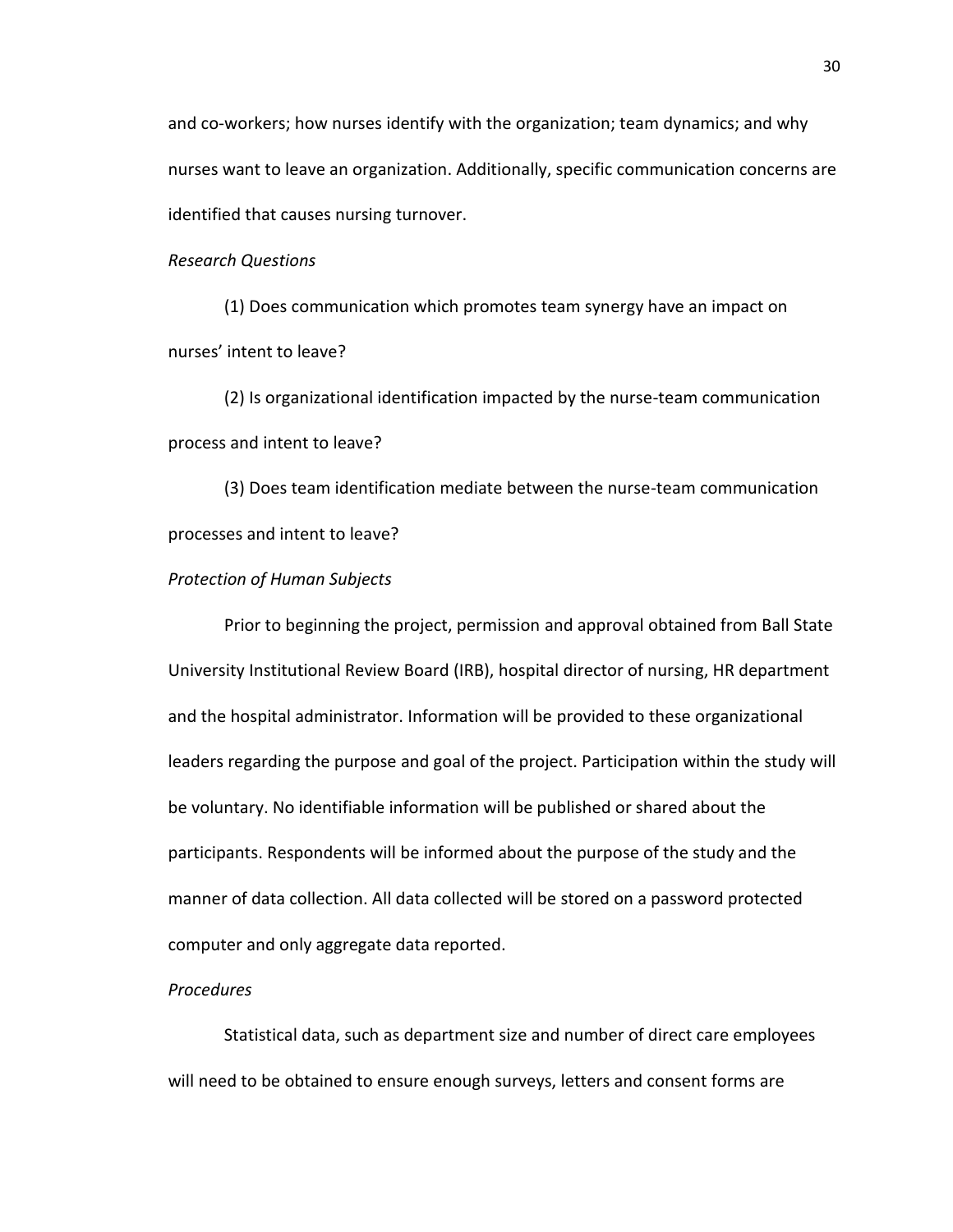and co-workers; how nurses identify with the organization; team dynamics; and why nurses want to leave an organization. Additionally, specific communication concerns are identified that causes nursing turnover.

### *Research Questions*

(1) Does communication which promotes team synergy have an impact on nurses' intent to leave?

(2) Is organizational identification impacted by the nurse-team communication process and intent to leave?

(3) Does team identification mediate between the nurse-team communication processes and intent to leave?

#### *Protection of Human Subjects*

Prior to beginning the project, permission and approval obtained from Ball State University Institutional Review Board (IRB), hospital director of nursing, HR department and the hospital administrator. Information will be provided to these organizational leaders regarding the purpose and goal of the project. Participation within the study will be voluntary. No identifiable information will be published or shared about the participants. Respondents will be informed about the purpose of the study and the manner of data collection. All data collected will be stored on a password protected computer and only aggregate data reported.

#### *Procedures*

Statistical data, such as department size and number of direct care employees will need to be obtained to ensure enough surveys, letters and consent forms are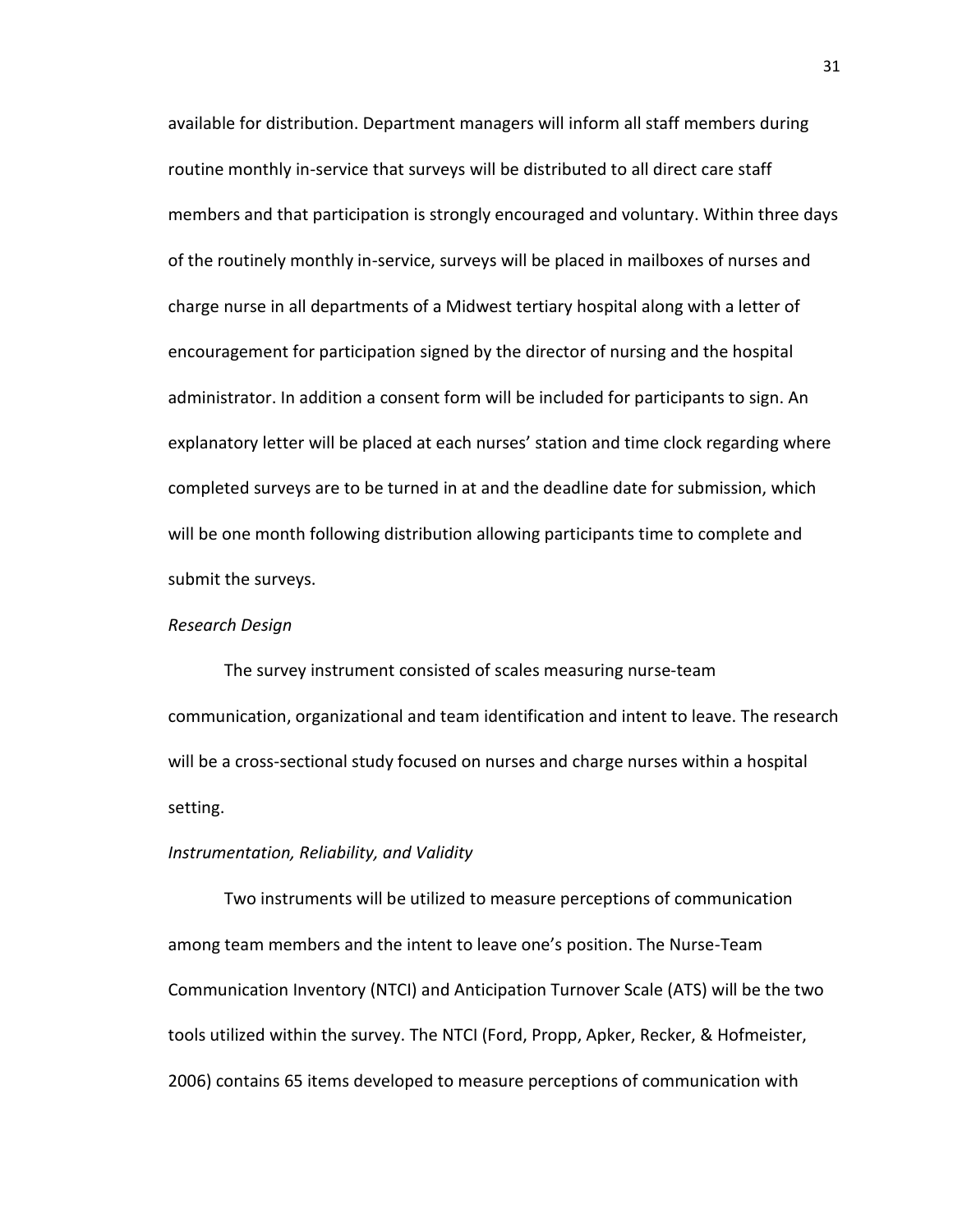available for distribution. Department managers will inform all staff members during routine monthly in-service that surveys will be distributed to all direct care staff members and that participation is strongly encouraged and voluntary. Within three days of the routinely monthly in-service, surveys will be placed in mailboxes of nurses and charge nurse in all departments of a Midwest tertiary hospital along with a letter of encouragement for participation signed by the director of nursing and the hospital administrator. In addition a consent form will be included for participants to sign. An explanatory letter will be placed at each nurses' station and time clock regarding where completed surveys are to be turned in at and the deadline date for submission, which will be one month following distribution allowing participants time to complete and submit the surveys.

# *Research Design*

The survey instrument consisted of scales measuring nurse-team communication, organizational and team identification and intent to leave. The research will be a cross-sectional study focused on nurses and charge nurses within a hospital setting.

#### *Instrumentation, Reliability, and Validity*

Two instruments will be utilized to measure perceptions of communication among team members and the intent to leave one's position. The Nurse-Team Communication Inventory (NTCI) and Anticipation Turnover Scale (ATS) will be the two tools utilized within the survey. The NTCI (Ford, Propp, Apker, Recker, & Hofmeister, 2006) contains 65 items developed to measure perceptions of communication with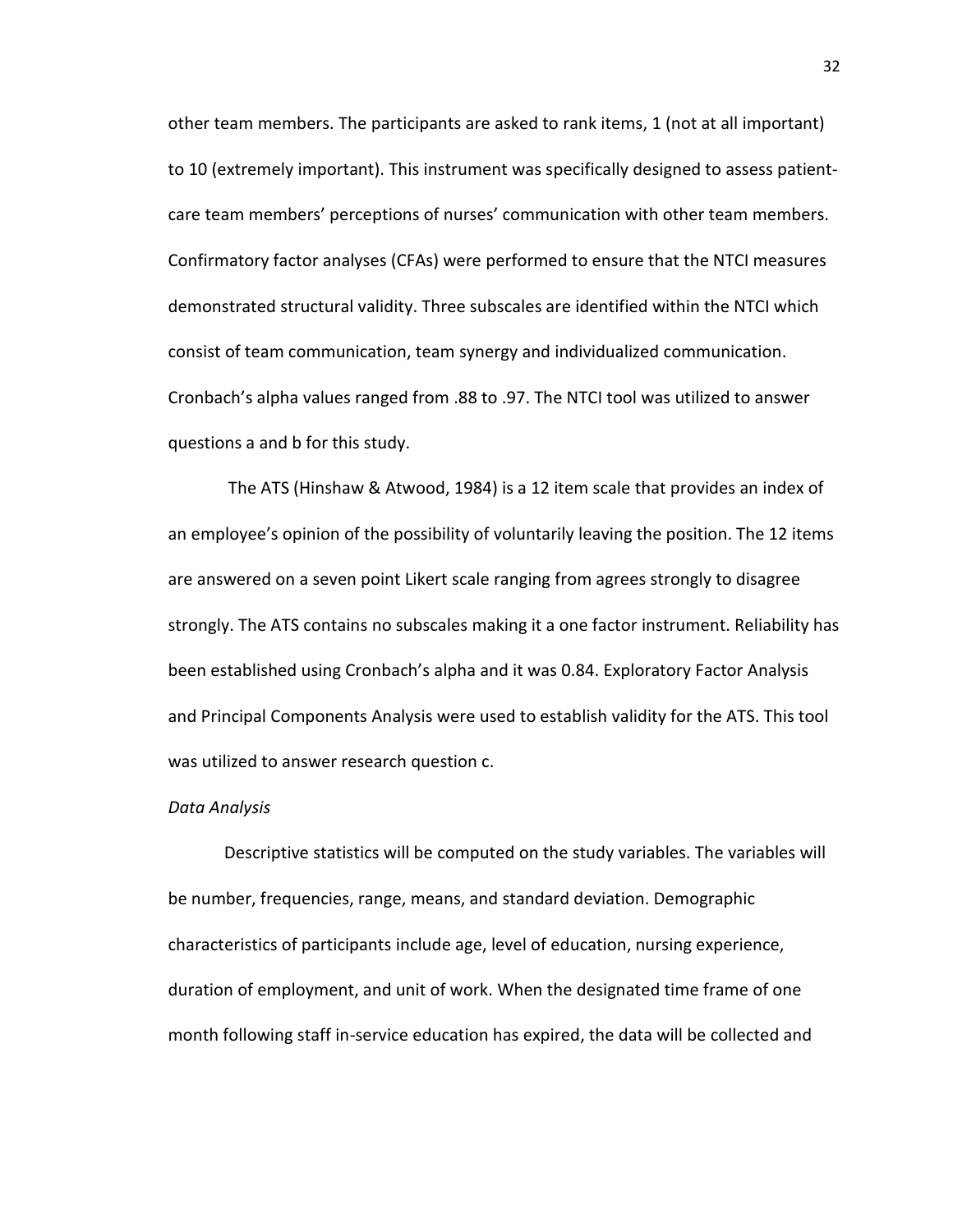other team members. The participants are asked to rank items, 1 (not at all important) to 10 (extremely important). This instrument was specifically designed to assess patientcare team members' perceptions of nurses' communication with other team members. Confirmatory factor analyses (CFAs) were performed to ensure that the NTCI measures demonstrated structural validity. Three subscales are identified within the NTCI which consist of team communication, team synergy and individualized communication. Cronbach's alpha values ranged from .88 to .97. The NTCI tool was utilized to answer questions a and b for this study.

The ATS (Hinshaw & Atwood, 1984) is a 12 item scale that provides an index of an employee's opinion of the possibility of voluntarily leaving the position. The 12 items are answered on a seven point Likert scale ranging from agrees strongly to disagree strongly. The ATS contains no subscales making it a one factor instrument. Reliability has been established using Cronbach's alpha and it was 0.84. Exploratory Factor Analysis and Principal Components Analysis were used to establish validity for the ATS. This tool was utilized to answer research question c.

#### *Data Analysis*

Descriptive statistics will be computed on the study variables. The variables will be number, frequencies, range, means, and standard deviation. Demographic characteristics of participants include age, level of education, nursing experience, duration of employment, and unit of work. When the designated time frame of one month following staff in-service education has expired, the data will be collected and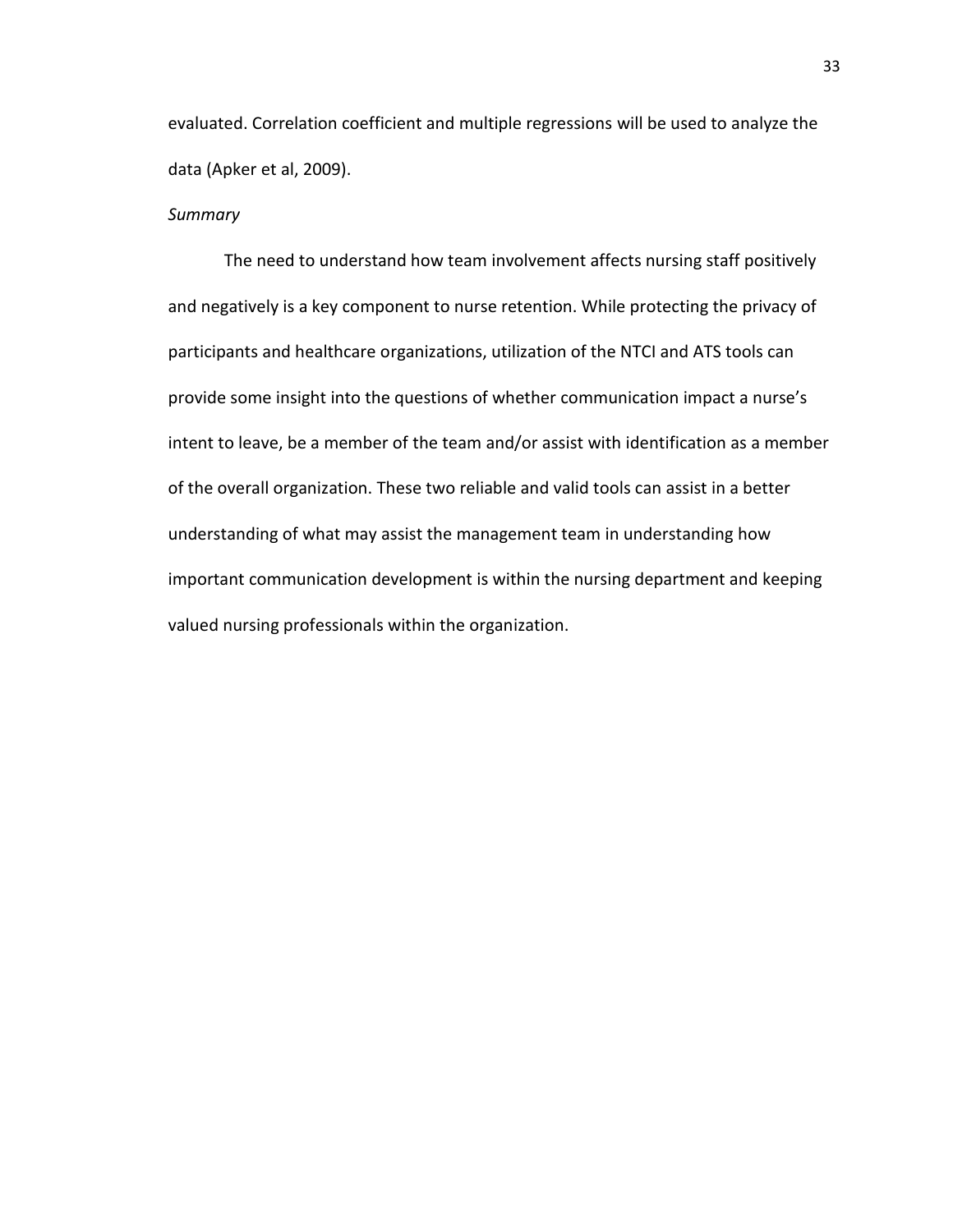evaluated. Correlation coefficient and multiple regressions will be used to analyze the data (Apker et al, 2009).

## *Summary*

The need to understand how team involvement affects nursing staff positively and negatively is a key component to nurse retention. While protecting the privacy of participants and healthcare organizations, utilization of the NTCI and ATS tools can provide some insight into the questions of whether communication impact a nurse's intent to leave, be a member of the team and/or assist with identification as a member of the overall organization. These two reliable and valid tools can assist in a better understanding of what may assist the management team in understanding how important communication development is within the nursing department and keeping valued nursing professionals within the organization.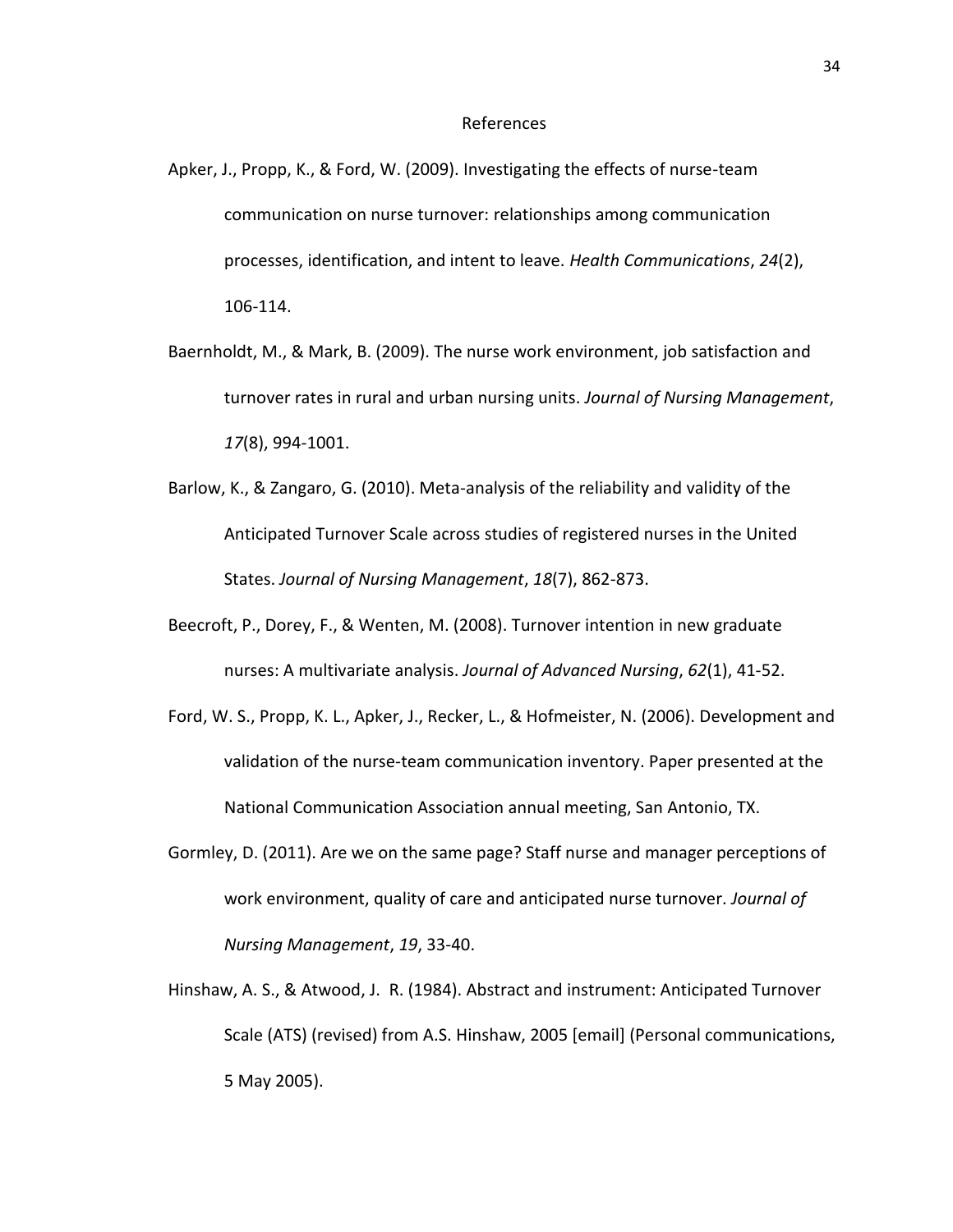#### References

- Apker, J., Propp, K., & Ford, W. (2009). Investigating the effects of nurse-team communication on nurse turnover: relationships among communication processes, identification, and intent to leave. *Health Communications*, *24*(2), 106-114.
- Baernholdt, M., & Mark, B. (2009). The nurse work environment, job satisfaction and turnover rates in rural and urban nursing units. *Journal of Nursing Management*, *17*(8), 994-1001.
- Barlow, K., & Zangaro, G. (2010). Meta-analysis of the reliability and validity of the Anticipated Turnover Scale across studies of registered nurses in the United States. *Journal of Nursing Management*, *18*(7), 862-873.
- Beecroft, P., Dorey, F., & Wenten, M. (2008). Turnover intention in new graduate nurses: A multivariate analysis. *Journal of Advanced Nursing*, *62*(1), 41-52.
- Ford, W. S., Propp, K. L., Apker, J., Recker, L., & Hofmeister, N. (2006). Development and validation of the nurse-team communication inventory. Paper presented at the National Communication Association annual meeting, San Antonio, TX.
- Gormley, D. (2011). Are we on the same page? Staff nurse and manager perceptions of work environment, quality of care and anticipated nurse turnover. *Journal of Nursing Management*, *19*, 33-40.
- Hinshaw, A. S., & Atwood, J. R. (1984). Abstract and instrument: Anticipated Turnover Scale (ATS) (revised) from A.S. Hinshaw, 2005 [email] (Personal communications, 5 May 2005).